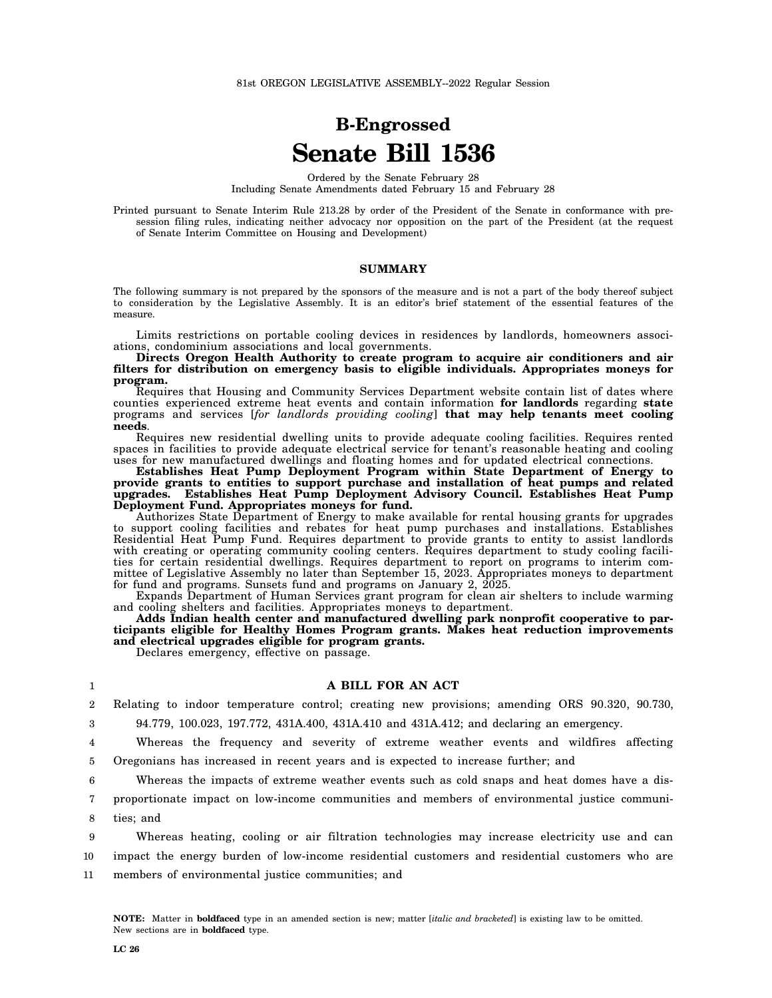# **B-Engrossed Senate Bill 1536**

Ordered by the Senate February 28 Including Senate Amendments dated February 15 and February 28

Printed pursuant to Senate Interim Rule 213.28 by order of the President of the Senate in conformance with presession filing rules, indicating neither advocacy nor opposition on the part of the President (at the request of Senate Interim Committee on Housing and Development)

#### **SUMMARY**

The following summary is not prepared by the sponsors of the measure and is not a part of the body thereof subject to consideration by the Legislative Assembly. It is an editor's brief statement of the essential features of the measure.

Limits restrictions on portable cooling devices in residences by landlords, homeowners associations, condominium associations and local governments.

**Directs Oregon Health Authority to create program to acquire air conditioners and air filters for distribution on emergency basis to eligible individuals. Appropriates moneys for program.**

Requires that Housing and Community Services Department website contain list of dates where counties experienced extreme heat events and contain information **for landlords** regarding **state** programs and services [*for landlords providing cooling*] **that may help tenants meet cooling needs**.

Requires new residential dwelling units to provide adequate cooling facilities. Requires rented spaces in facilities to provide adequate electrical service for tenant's reasonable heating and cooling uses for new manufactured dwellings and floating homes and for updated electrical connections.

**Establishes Heat Pump Deployment Program within State Department of Energy to provide grants to entities to support purchase and installation of heat pumps and related upgrades. Establishes Heat Pump Deployment Advisory Council. Establishes Heat Pump Deployment Fund. Appropriates moneys for fund.**

Authorizes State Department of Energy to make available for rental housing grants for upgrades to support cooling facilities and rebates for heat pump purchases and installations. Establishes Residential Heat Pump Fund. Requires department to provide grants to entity to assist landlords with creating or operating community cooling centers. Requires department to study cooling facilities for certain residential dwellings. Requires department to report on programs to interim committee of Legislative Assembly no later than September 15, 2023. Appropriates moneys to department for fund and programs. Sunsets fund and programs on January 2, 2025.

Expands Department of Human Services grant program for clean air shelters to include warming and cooling shelters and facilities. Appropriates moneys to department.

**Adds Indian health center and manufactured dwelling park nonprofit cooperative to participants eligible for Healthy Homes Program grants. Makes heat reduction improvements and electrical upgrades eligible for program grants.**

Declares emergency, effective on passage.

#### **A BILL FOR AN ACT**

2 3 Relating to indoor temperature control; creating new provisions; amending ORS 90.320, 90.730, 94.779, 100.023, 197.772, 431A.400, 431A.410 and 431A.412; and declaring an emergency.

4 Whereas the frequency and severity of extreme weather events and wildfires affecting

5 Oregonians has increased in recent years and is expected to increase further; and

6 Whereas the impacts of extreme weather events such as cold snaps and heat domes have a dis-

7 proportionate impact on low-income communities and members of environmental justice communi-

8 ties; and

1

9 10 11 Whereas heating, cooling or air filtration technologies may increase electricity use and can impact the energy burden of low-income residential customers and residential customers who are members of environmental justice communities; and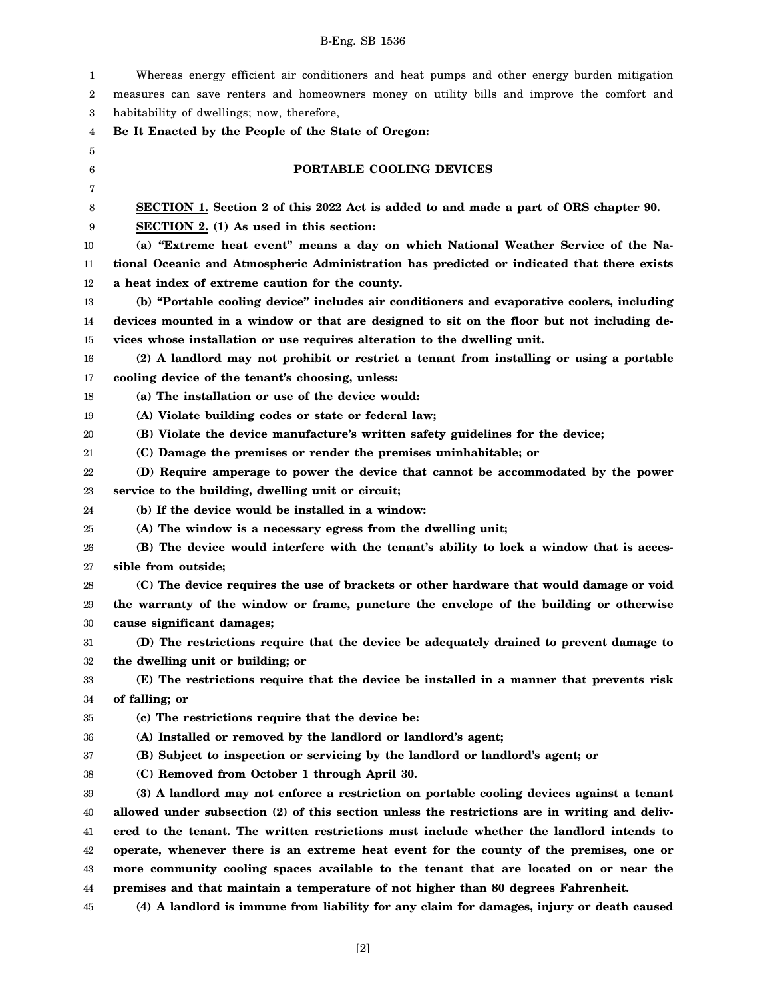| 1      | Whereas energy efficient air conditioners and heat pumps and other energy burden mitigation    |
|--------|------------------------------------------------------------------------------------------------|
| 2      | measures can save renters and homeowners money on utility bills and improve the comfort and    |
| 3      | habitability of dwellings; now, therefore,                                                     |
| 4      | Be It Enacted by the People of the State of Oregon:                                            |
| 5      |                                                                                                |
| 6      | PORTABLE COOLING DEVICES                                                                       |
| 7      |                                                                                                |
| 8      | SECTION 1. Section 2 of this 2022 Act is added to and made a part of ORS chapter 90.           |
| 9      | SECTION 2. (1) As used in this section:                                                        |
| 10     | (a) "Extreme heat event" means a day on which National Weather Service of the Na-              |
| 11     | tional Oceanic and Atmospheric Administration has predicted or indicated that there exists     |
| 12     | a heat index of extreme caution for the county.                                                |
| 13     | (b) "Portable cooling device" includes air conditioners and evaporative coolers, including     |
| 14     | devices mounted in a window or that are designed to sit on the floor but not including de-     |
| 15     | vices whose installation or use requires alteration to the dwelling unit.                      |
| 16     | (2) A landlord may not prohibit or restrict a tenant from installing or using a portable       |
| 17     | cooling device of the tenant's choosing, unless:                                               |
| 18     | (a) The installation or use of the device would:                                               |
| 19     | (A) Violate building codes or state or federal law;                                            |
| 20     | (B) Violate the device manufacture's written safety guidelines for the device;                 |
| 21     | (C) Damage the premises or render the premises uninhabitable; or                               |
| 22     | (D) Require amperage to power the device that cannot be accommodated by the power              |
| 23     | service to the building, dwelling unit or circuit;                                             |
| 24     | (b) If the device would be installed in a window:                                              |
| 25     | (A) The window is a necessary egress from the dwelling unit;                                   |
| 26     | (B) The device would interfere with the tenant's ability to lock a window that is acces-       |
| 27     | sible from outside;                                                                            |
| 28     | (C) The device requires the use of brackets or other hardware that would damage or void        |
| 29     | the warranty of the window or frame, puncture the envelope of the building or otherwise        |
| 30     | cause significant damages;                                                                     |
| 31     | (D) The restrictions require that the device be adequately drained to prevent damage to        |
| $32\,$ | the dwelling unit or building; or                                                              |
| 33     | (E) The restrictions require that the device be installed in a manner that prevents risk       |
| 34     | of falling; or                                                                                 |
| 35     | (c) The restrictions require that the device be:                                               |
| 36     | (A) Installed or removed by the landlord or landlord's agent;                                  |
| 37     | (B) Subject to inspection or servicing by the landlord or landlord's agent; or                 |
| 38     | (C) Removed from October 1 through April 30.                                                   |
| 39     | (3) A landlord may not enforce a restriction on portable cooling devices against a tenant      |
| 40     | allowed under subsection (2) of this section unless the restrictions are in writing and deliv- |
| 41     | ered to the tenant. The written restrictions must include whether the landlord intends to      |
| 42     | operate, whenever there is an extreme heat event for the county of the premises, one or        |
| 43     | more community cooling spaces available to the tenant that are located on or near the          |
| 44     | premises and that maintain a temperature of not higher than 80 degrees Fahrenheit.             |
| 45     | (4) A landlord is immune from liability for any claim for damages, injury or death caused      |
|        |                                                                                                |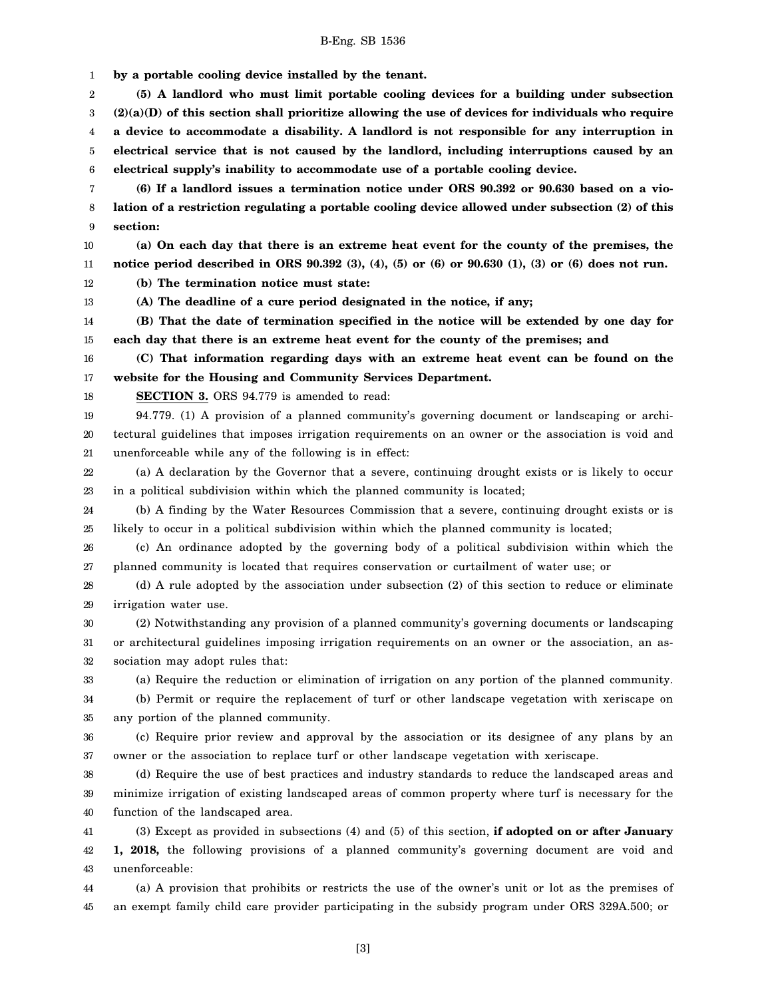1 **by a portable cooling device installed by the tenant.**

2 3 4 5 6 **(5) A landlord who must limit portable cooling devices for a building under subsection (2)(a)(D) of this section shall prioritize allowing the use of devices for individuals who require a device to accommodate a disability. A landlord is not responsible for any interruption in electrical service that is not caused by the landlord, including interruptions caused by an electrical supply's inability to accommodate use of a portable cooling device.**

7 8 9 **(6) If a landlord issues a termination notice under ORS 90.392 or 90.630 based on a violation of a restriction regulating a portable cooling device allowed under subsection (2) of this section:**

10 11 **(a) On each day that there is an extreme heat event for the county of the premises, the notice period described in ORS 90.392 (3), (4), (5) or (6) or 90.630 (1), (3) or (6) does not run.**

12 **(b) The termination notice must state:**

13 **(A) The deadline of a cure period designated in the notice, if any;**

14 15 **(B) That the date of termination specified in the notice will be extended by one day for each day that there is an extreme heat event for the county of the premises; and**

16 17 **(C) That information regarding days with an extreme heat event can be found on the website for the Housing and Community Services Department.**

18

**SECTION 3.** ORS 94.779 is amended to read:

19 20 21 94.779. (1) A provision of a planned community's governing document or landscaping or architectural guidelines that imposes irrigation requirements on an owner or the association is void and unenforceable while any of the following is in effect:

22 23 (a) A declaration by the Governor that a severe, continuing drought exists or is likely to occur in a political subdivision within which the planned community is located;

24 25 (b) A finding by the Water Resources Commission that a severe, continuing drought exists or is likely to occur in a political subdivision within which the planned community is located;

26 27 (c) An ordinance adopted by the governing body of a political subdivision within which the planned community is located that requires conservation or curtailment of water use; or

28 29 (d) A rule adopted by the association under subsection (2) of this section to reduce or eliminate irrigation water use.

30 31 32 (2) Notwithstanding any provision of a planned community's governing documents or landscaping or architectural guidelines imposing irrigation requirements on an owner or the association, an association may adopt rules that:

33 (a) Require the reduction or elimination of irrigation on any portion of the planned community.

34 35 (b) Permit or require the replacement of turf or other landscape vegetation with xeriscape on any portion of the planned community.

36 37 (c) Require prior review and approval by the association or its designee of any plans by an owner or the association to replace turf or other landscape vegetation with xeriscape.

38 39 40 (d) Require the use of best practices and industry standards to reduce the landscaped areas and minimize irrigation of existing landscaped areas of common property where turf is necessary for the function of the landscaped area.

41 42 43 (3) Except as provided in subsections (4) and (5) of this section, **if adopted on or after January 1, 2018,** the following provisions of a planned community's governing document are void and unenforceable:

44 45 (a) A provision that prohibits or restricts the use of the owner's unit or lot as the premises of an exempt family child care provider participating in the subsidy program under ORS 329A.500; or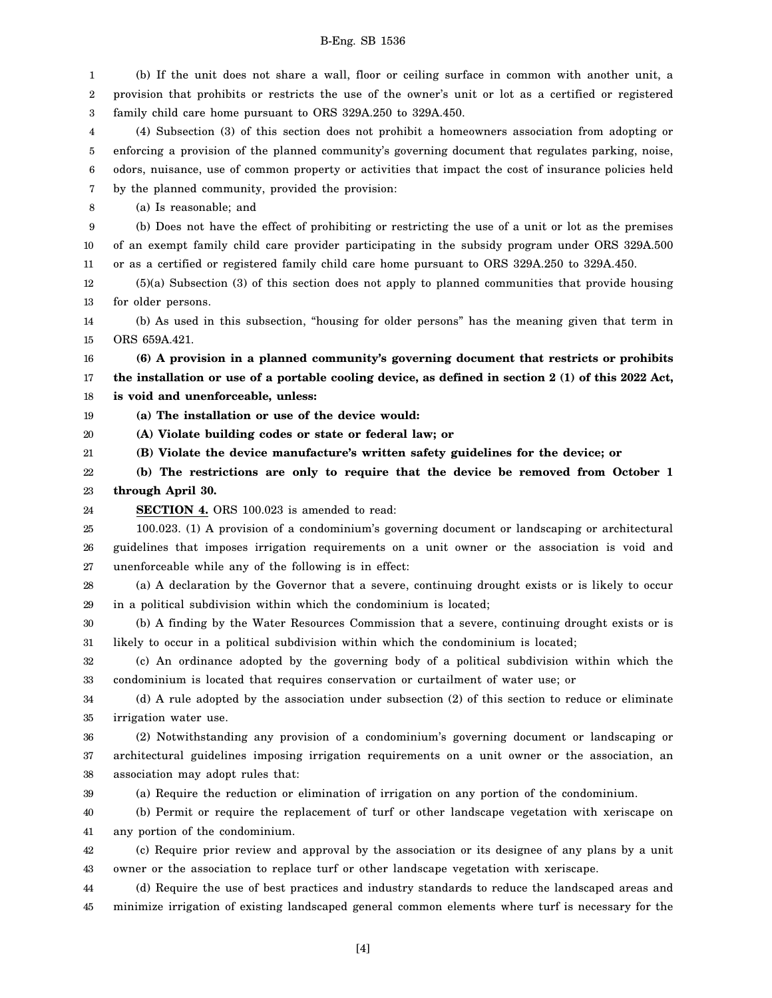1 2 3 4 5 6 7 8 9 10 11 12 13 14 15 16 17 18 19 20 21 22 23 24 25 26 27 28 29 30 31 32 33 34 35 36 37 38 39 40 41 42 43 44 45 (b) If the unit does not share a wall, floor or ceiling surface in common with another unit, a provision that prohibits or restricts the use of the owner's unit or lot as a certified or registered family child care home pursuant to ORS 329A.250 to 329A.450. (4) Subsection (3) of this section does not prohibit a homeowners association from adopting or enforcing a provision of the planned community's governing document that regulates parking, noise, odors, nuisance, use of common property or activities that impact the cost of insurance policies held by the planned community, provided the provision: (a) Is reasonable; and (b) Does not have the effect of prohibiting or restricting the use of a unit or lot as the premises of an exempt family child care provider participating in the subsidy program under ORS 329A.500 or as a certified or registered family child care home pursuant to ORS 329A.250 to 329A.450. (5)(a) Subsection (3) of this section does not apply to planned communities that provide housing for older persons. (b) As used in this subsection, "housing for older persons" has the meaning given that term in ORS 659A.421. **(6) A provision in a planned community's governing document that restricts or prohibits the installation or use of a portable cooling device, as defined in section 2 (1) of this 2022 Act, is void and unenforceable, unless: (a) The installation or use of the device would: (A) Violate building codes or state or federal law; or (B) Violate the device manufacture's written safety guidelines for the device; or (b) The restrictions are only to require that the device be removed from October 1 through April 30. SECTION 4.** ORS 100.023 is amended to read: 100.023. (1) A provision of a condominium's governing document or landscaping or architectural guidelines that imposes irrigation requirements on a unit owner or the association is void and unenforceable while any of the following is in effect: (a) A declaration by the Governor that a severe, continuing drought exists or is likely to occur in a political subdivision within which the condominium is located; (b) A finding by the Water Resources Commission that a severe, continuing drought exists or is likely to occur in a political subdivision within which the condominium is located; (c) An ordinance adopted by the governing body of a political subdivision within which the condominium is located that requires conservation or curtailment of water use; or (d) A rule adopted by the association under subsection (2) of this section to reduce or eliminate irrigation water use. (2) Notwithstanding any provision of a condominium's governing document or landscaping or architectural guidelines imposing irrigation requirements on a unit owner or the association, an association may adopt rules that: (a) Require the reduction or elimination of irrigation on any portion of the condominium. (b) Permit or require the replacement of turf or other landscape vegetation with xeriscape on any portion of the condominium. (c) Require prior review and approval by the association or its designee of any plans by a unit owner or the association to replace turf or other landscape vegetation with xeriscape. (d) Require the use of best practices and industry standards to reduce the landscaped areas and minimize irrigation of existing landscaped general common elements where turf is necessary for the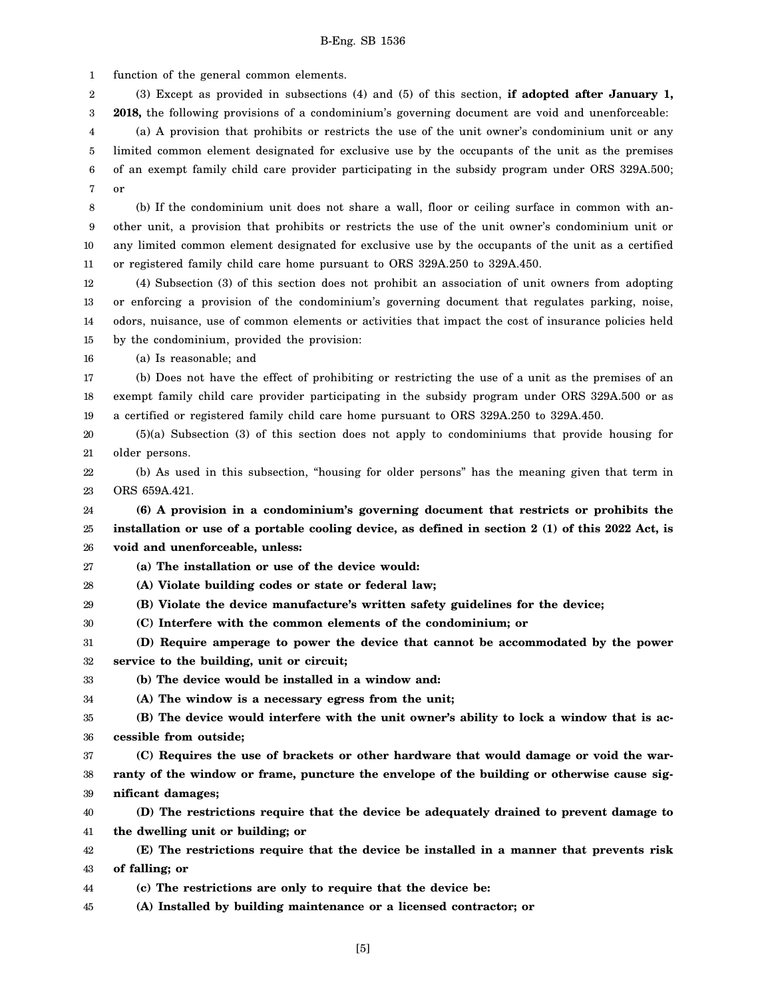1 function of the general common elements.

2 3 (3) Except as provided in subsections (4) and (5) of this section, **if adopted after January 1, 2018,** the following provisions of a condominium's governing document are void and unenforceable:

4 5 6 7 (a) A provision that prohibits or restricts the use of the unit owner's condominium unit or any limited common element designated for exclusive use by the occupants of the unit as the premises of an exempt family child care provider participating in the subsidy program under ORS 329A.500; or

8 9 10 11 (b) If the condominium unit does not share a wall, floor or ceiling surface in common with another unit, a provision that prohibits or restricts the use of the unit owner's condominium unit or any limited common element designated for exclusive use by the occupants of the unit as a certified or registered family child care home pursuant to ORS 329A.250 to 329A.450.

12 13 14 15 (4) Subsection (3) of this section does not prohibit an association of unit owners from adopting or enforcing a provision of the condominium's governing document that regulates parking, noise, odors, nuisance, use of common elements or activities that impact the cost of insurance policies held by the condominium, provided the provision:

16 (a) Is reasonable; and

17 18 19 (b) Does not have the effect of prohibiting or restricting the use of a unit as the premises of an exempt family child care provider participating in the subsidy program under ORS 329A.500 or as a certified or registered family child care home pursuant to ORS 329A.250 to 329A.450.

20 21 (5)(a) Subsection (3) of this section does not apply to condominiums that provide housing for older persons.

22 23 (b) As used in this subsection, "housing for older persons" has the meaning given that term in ORS 659A.421.

24 25 26 **(6) A provision in a condominium's governing document that restricts or prohibits the installation or use of a portable cooling device, as defined in section 2 (1) of this 2022 Act, is void and unenforceable, unless:**

27 **(a) The installation or use of the device would:**

28 **(A) Violate building codes or state or federal law;**

29 **(B) Violate the device manufacture's written safety guidelines for the device;**

30 **(C) Interfere with the common elements of the condominium; or**

31 32 **(D) Require amperage to power the device that cannot be accommodated by the power service to the building, unit or circuit;**

33 **(b) The device would be installed in a window and:**

34 **(A) The window is a necessary egress from the unit;**

35 36 **(B) The device would interfere with the unit owner's ability to lock a window that is accessible from outside;**

37 38 39 **(C) Requires the use of brackets or other hardware that would damage or void the warranty of the window or frame, puncture the envelope of the building or otherwise cause significant damages;**

40 41 **(D) The restrictions require that the device be adequately drained to prevent damage to the dwelling unit or building; or**

42 43 **(E) The restrictions require that the device be installed in a manner that prevents risk of falling; or**

44 **(c) The restrictions are only to require that the device be:**

45 **(A) Installed by building maintenance or a licensed contractor; or**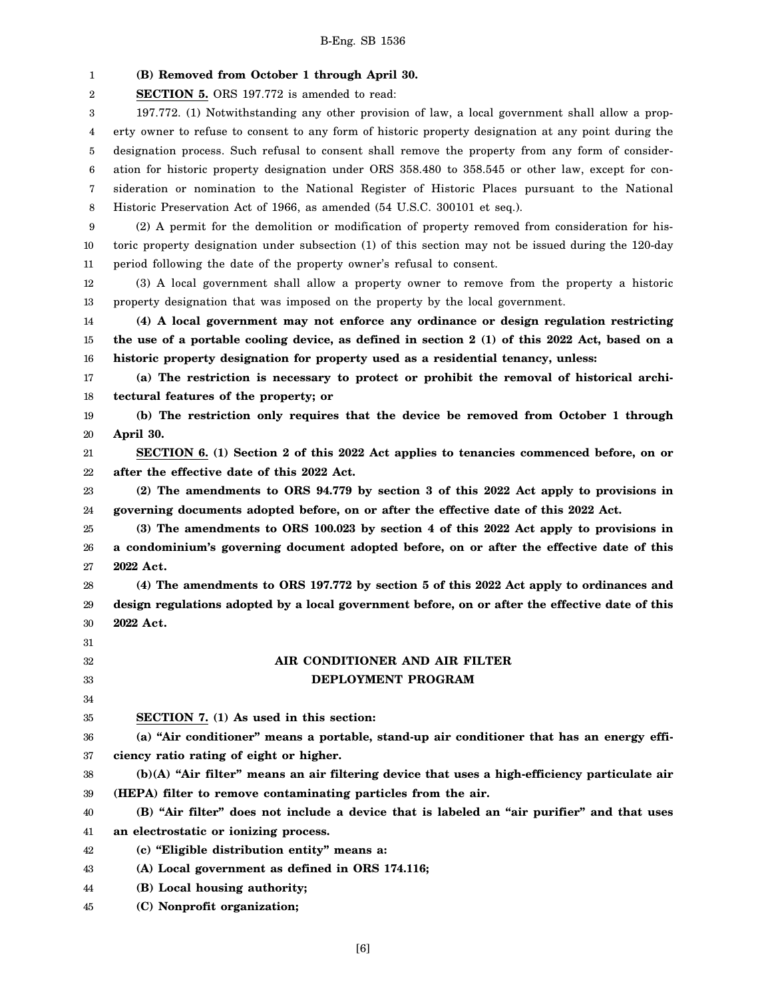1 2 3 4 5 6 7 8 9 10 11 12 13 14 15 16 17 18 19 20 21 22 23 24 25 26 27 28 29 30 31 32 33 34 35 36 37 38 39 40 41 42 43 44 45 **(B) Removed from October 1 through April 30. SECTION 5.** ORS 197.772 is amended to read: 197.772. (1) Notwithstanding any other provision of law, a local government shall allow a property owner to refuse to consent to any form of historic property designation at any point during the designation process. Such refusal to consent shall remove the property from any form of consideration for historic property designation under ORS 358.480 to 358.545 or other law, except for consideration or nomination to the National Register of Historic Places pursuant to the National Historic Preservation Act of 1966, as amended (54 U.S.C. 300101 et seq.). (2) A permit for the demolition or modification of property removed from consideration for historic property designation under subsection (1) of this section may not be issued during the 120-day period following the date of the property owner's refusal to consent. (3) A local government shall allow a property owner to remove from the property a historic property designation that was imposed on the property by the local government. **(4) A local government may not enforce any ordinance or design regulation restricting the use of a portable cooling device, as defined in section 2 (1) of this 2022 Act, based on a historic property designation for property used as a residential tenancy, unless: (a) The restriction is necessary to protect or prohibit the removal of historical architectural features of the property; or (b) The restriction only requires that the device be removed from October 1 through April 30. SECTION 6. (1) Section 2 of this 2022 Act applies to tenancies commenced before, on or after the effective date of this 2022 Act. (2) The amendments to ORS 94.779 by section 3 of this 2022 Act apply to provisions in governing documents adopted before, on or after the effective date of this 2022 Act. (3) The amendments to ORS 100.023 by section 4 of this 2022 Act apply to provisions in a condominium's governing document adopted before, on or after the effective date of this 2022 Act. (4) The amendments to ORS 197.772 by section 5 of this 2022 Act apply to ordinances and design regulations adopted by a local government before, on or after the effective date of this 2022 Act. AIR CONDITIONER AND AIR FILTER DEPLOYMENT PROGRAM SECTION 7. (1) As used in this section: (a) "Air conditioner" means a portable, stand-up air conditioner that has an energy efficiency ratio rating of eight or higher. (b)(A) "Air filter" means an air filtering device that uses a high-efficiency particulate air (HEPA) filter to remove contaminating particles from the air. (B) "Air filter" does not include a device that is labeled an "air purifier" and that uses an electrostatic or ionizing process. (c) "Eligible distribution entity" means a: (A) Local government as defined in ORS 174.116; (B) Local housing authority; (C) Nonprofit organization;**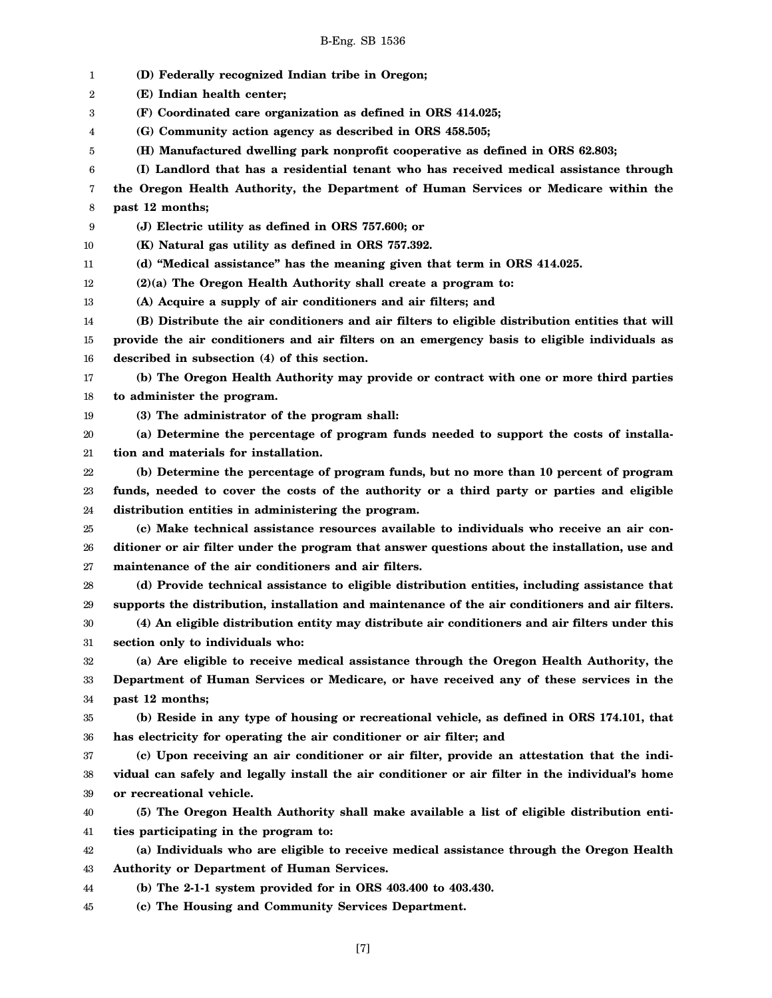1 2 3 4 5 6 7 8 9 10 11 12 13 14 15 16 17 18 19 20 21 22 23 24 25 26 27 28 29 30 31 32 33 34 35 36 37 38 39 40 41 42 43 44 **(D) Federally recognized Indian tribe in Oregon; (E) Indian health center; (F) Coordinated care organization as defined in ORS 414.025; (G) Community action agency as described in ORS 458.505; (H) Manufactured dwelling park nonprofit cooperative as defined in ORS 62.803; (I) Landlord that has a residential tenant who has received medical assistance through the Oregon Health Authority, the Department of Human Services or Medicare within the past 12 months; (J) Electric utility as defined in ORS 757.600; or (K) Natural gas utility as defined in ORS 757.392. (d) "Medical assistance" has the meaning given that term in ORS 414.025. (2)(a) The Oregon Health Authority shall create a program to: (A) Acquire a supply of air conditioners and air filters; and (B) Distribute the air conditioners and air filters to eligible distribution entities that will provide the air conditioners and air filters on an emergency basis to eligible individuals as described in subsection (4) of this section. (b) The Oregon Health Authority may provide or contract with one or more third parties to administer the program. (3) The administrator of the program shall: (a) Determine the percentage of program funds needed to support the costs of installation and materials for installation. (b) Determine the percentage of program funds, but no more than 10 percent of program funds, needed to cover the costs of the authority or a third party or parties and eligible distribution entities in administering the program. (c) Make technical assistance resources available to individuals who receive an air conditioner or air filter under the program that answer questions about the installation, use and maintenance of the air conditioners and air filters. (d) Provide technical assistance to eligible distribution entities, including assistance that supports the distribution, installation and maintenance of the air conditioners and air filters. (4) An eligible distribution entity may distribute air conditioners and air filters under this section only to individuals who: (a) Are eligible to receive medical assistance through the Oregon Health Authority, the Department of Human Services or Medicare, or have received any of these services in the past 12 months; (b) Reside in any type of housing or recreational vehicle, as defined in ORS 174.101, that has electricity for operating the air conditioner or air filter; and (c) Upon receiving an air conditioner or air filter, provide an attestation that the individual can safely and legally install the air conditioner or air filter in the individual's home or recreational vehicle. (5) The Oregon Health Authority shall make available a list of eligible distribution entities participating in the program to: (a) Individuals who are eligible to receive medical assistance through the Oregon Health Authority or Department of Human Services. (b) The 2-1-1 system provided for in ORS 403.400 to 403.430.**

45 **(c) The Housing and Community Services Department.**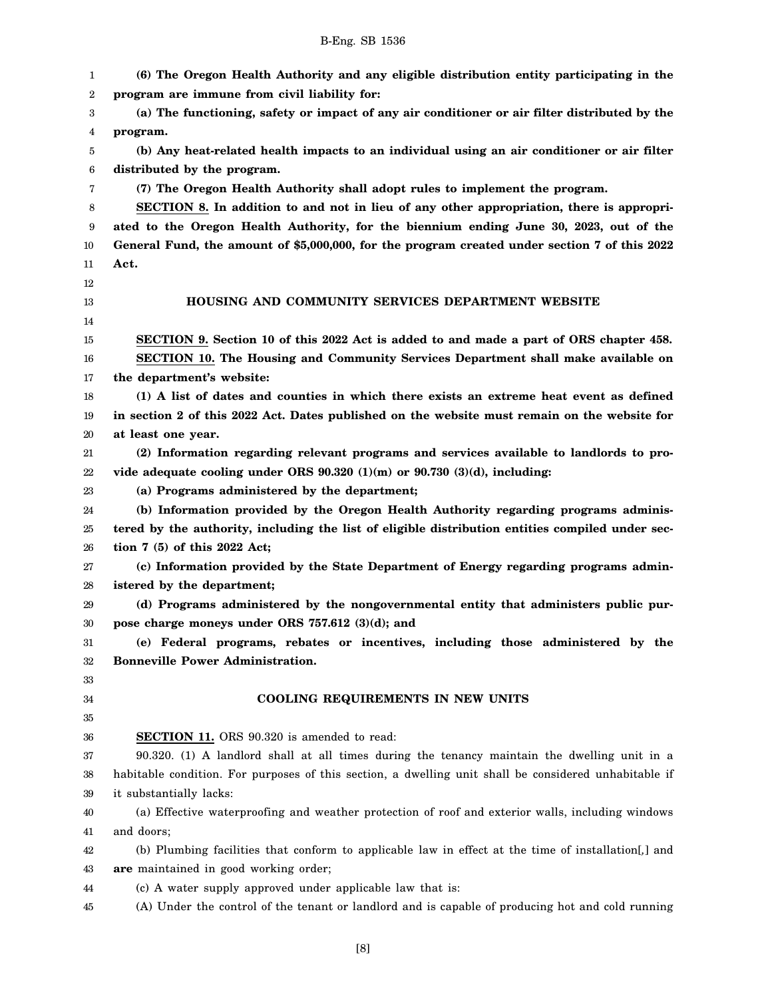| 1        | (6) The Oregon Health Authority and any eligible distribution entity participating in the             |
|----------|-------------------------------------------------------------------------------------------------------|
| 2        | program are immune from civil liability for:                                                          |
| 3        | (a) The functioning, safety or impact of any air conditioner or air filter distributed by the         |
| 4        | program.                                                                                              |
| 5        | (b) Any heat-related health impacts to an individual using an air conditioner or air filter           |
| 6        | distributed by the program.                                                                           |
| 7        | (7) The Oregon Health Authority shall adopt rules to implement the program.                           |
| 8        | SECTION 8. In addition to and not in lieu of any other appropriation, there is appropri-              |
| 9        | ated to the Oregon Health Authority, for the biennium ending June 30, 2023, out of the                |
| 10       | General Fund, the amount of \$5,000,000, for the program created under section 7 of this 2022         |
| 11       | Act.                                                                                                  |
| 12       |                                                                                                       |
| 13       | HOUSING AND COMMUNITY SERVICES DEPARTMENT WEBSITE                                                     |
| 14       |                                                                                                       |
| 15       | SECTION 9. Section 10 of this 2022 Act is added to and made a part of ORS chapter 458.                |
| 16       | SECTION 10. The Housing and Community Services Department shall make available on                     |
| 17       | the department's website:                                                                             |
| 18       | (1) A list of dates and counties in which there exists an extreme heat event as defined               |
| 19       | in section 2 of this 2022 Act. Dates published on the website must remain on the website for          |
| 20       | at least one year.                                                                                    |
| 21       | (2) Information regarding relevant programs and services available to landlords to pro-               |
| 22       | vide adequate cooling under ORS $90.320(1)(m)$ or $90.730(3)(d)$ , including:                         |
| 23       | (a) Programs administered by the department;                                                          |
| 24       | (b) Information provided by the Oregon Health Authority regarding programs adminis-                   |
| 25       | tered by the authority, including the list of eligible distribution entities compiled under sec-      |
| 26       | tion $7(5)$ of this 2022 Act;                                                                         |
| 27       | (c) Information provided by the State Department of Energy regarding programs admin-                  |
| 28       | istered by the department;                                                                            |
| 29       | (d) Programs administered by the nongovernmental entity that administers public pur-                  |
| 30       | pose charge moneys under ORS $757.612$ (3)(d); and                                                    |
| 31       | (e) Federal programs, rebates or incentives, including those administered by the                      |
| 32       | <b>Bonneville Power Administration.</b>                                                               |
| 33       | <b>COOLING REQUIREMENTS IN NEW UNITS</b>                                                              |
| 34<br>35 |                                                                                                       |
| 36       | <b>SECTION 11.</b> ORS 90.320 is amended to read:                                                     |
| 37       | 90.320. (1) A landlord shall at all times during the tenancy maintain the dwelling unit in a          |
| 38       | habitable condition. For purposes of this section, a dwelling unit shall be considered unhabitable if |
| 39       | it substantially lacks:                                                                               |
| 40       | (a) Effective waterproofing and weather protection of roof and exterior walls, including windows      |
| 41       | and doors;                                                                                            |
| 42       | (b) Plumbing facilities that conform to applicable law in effect at the time of installation[,] and   |
| 43       | are maintained in good working order;                                                                 |
| 44       | (c) A water supply approved under applicable law that is:                                             |
| 45       | (A) Under the control of the tenant or landlord and is capable of producing hot and cold running      |
|          |                                                                                                       |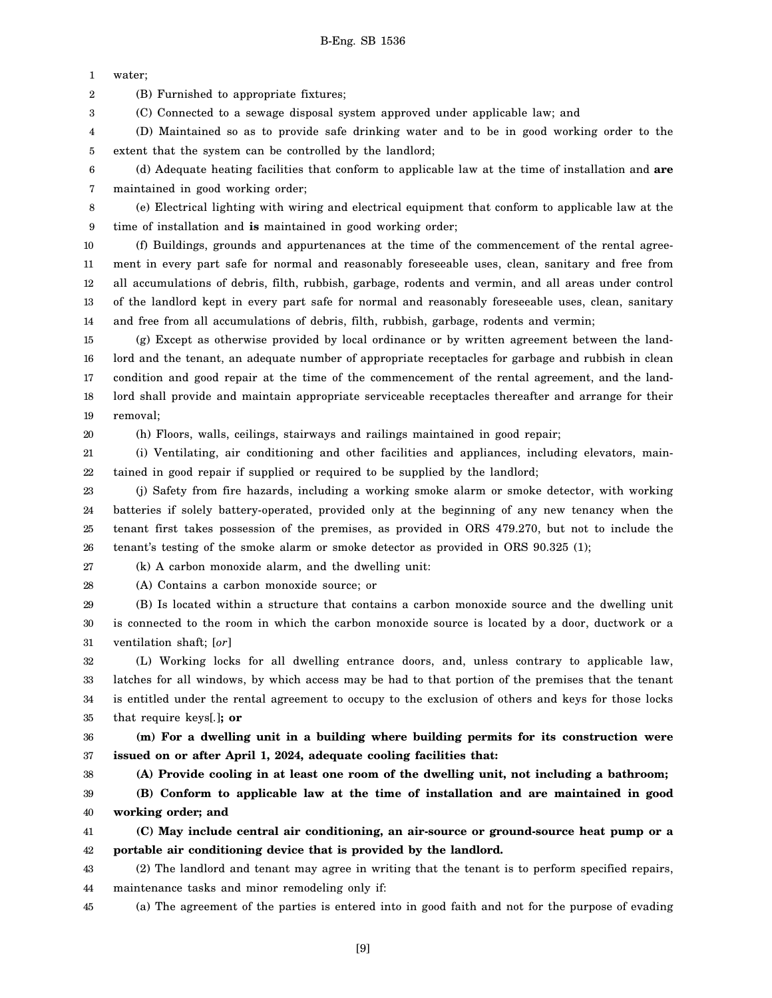1 water;

3

2 (B) Furnished to appropriate fixtures;

(C) Connected to a sewage disposal system approved under applicable law; and

4 5 (D) Maintained so as to provide safe drinking water and to be in good working order to the extent that the system can be controlled by the landlord;

6 7 (d) Adequate heating facilities that conform to applicable law at the time of installation and **are** maintained in good working order;

8 9 (e) Electrical lighting with wiring and electrical equipment that conform to applicable law at the time of installation and **is** maintained in good working order;

10 11 12 13 14 (f) Buildings, grounds and appurtenances at the time of the commencement of the rental agreement in every part safe for normal and reasonably foreseeable uses, clean, sanitary and free from all accumulations of debris, filth, rubbish, garbage, rodents and vermin, and all areas under control of the landlord kept in every part safe for normal and reasonably foreseeable uses, clean, sanitary and free from all accumulations of debris, filth, rubbish, garbage, rodents and vermin;

15 16 17 18 19 (g) Except as otherwise provided by local ordinance or by written agreement between the landlord and the tenant, an adequate number of appropriate receptacles for garbage and rubbish in clean condition and good repair at the time of the commencement of the rental agreement, and the landlord shall provide and maintain appropriate serviceable receptacles thereafter and arrange for their removal;

20

(h) Floors, walls, ceilings, stairways and railings maintained in good repair;

21 22 (i) Ventilating, air conditioning and other facilities and appliances, including elevators, maintained in good repair if supplied or required to be supplied by the landlord;

23 24 25 26 (j) Safety from fire hazards, including a working smoke alarm or smoke detector, with working batteries if solely battery-operated, provided only at the beginning of any new tenancy when the tenant first takes possession of the premises, as provided in ORS 479.270, but not to include the tenant's testing of the smoke alarm or smoke detector as provided in ORS 90.325 (1);

27 (k) A carbon monoxide alarm, and the dwelling unit:

28

(A) Contains a carbon monoxide source; or

29 30 31 (B) Is located within a structure that contains a carbon monoxide source and the dwelling unit is connected to the room in which the carbon monoxide source is located by a door, ductwork or a ventilation shaft; [*or*]

32 33 34 35 (L) Working locks for all dwelling entrance doors, and, unless contrary to applicable law, latches for all windows, by which access may be had to that portion of the premises that the tenant is entitled under the rental agreement to occupy to the exclusion of others and keys for those locks that require keys[*.*]**; or**

36 37 **(m) For a dwelling unit in a building where building permits for its construction were issued on or after April 1, 2024, adequate cooling facilities that:**

38

**(A) Provide cooling in at least one room of the dwelling unit, not including a bathroom;**

39 40 **(B) Conform to applicable law at the time of installation and are maintained in good working order; and**

41 42 **(C) May include central air conditioning, an air-source or ground-source heat pump or a portable air conditioning device that is provided by the landlord.**

43 44 (2) The landlord and tenant may agree in writing that the tenant is to perform specified repairs, maintenance tasks and minor remodeling only if:

45 (a) The agreement of the parties is entered into in good faith and not for the purpose of evading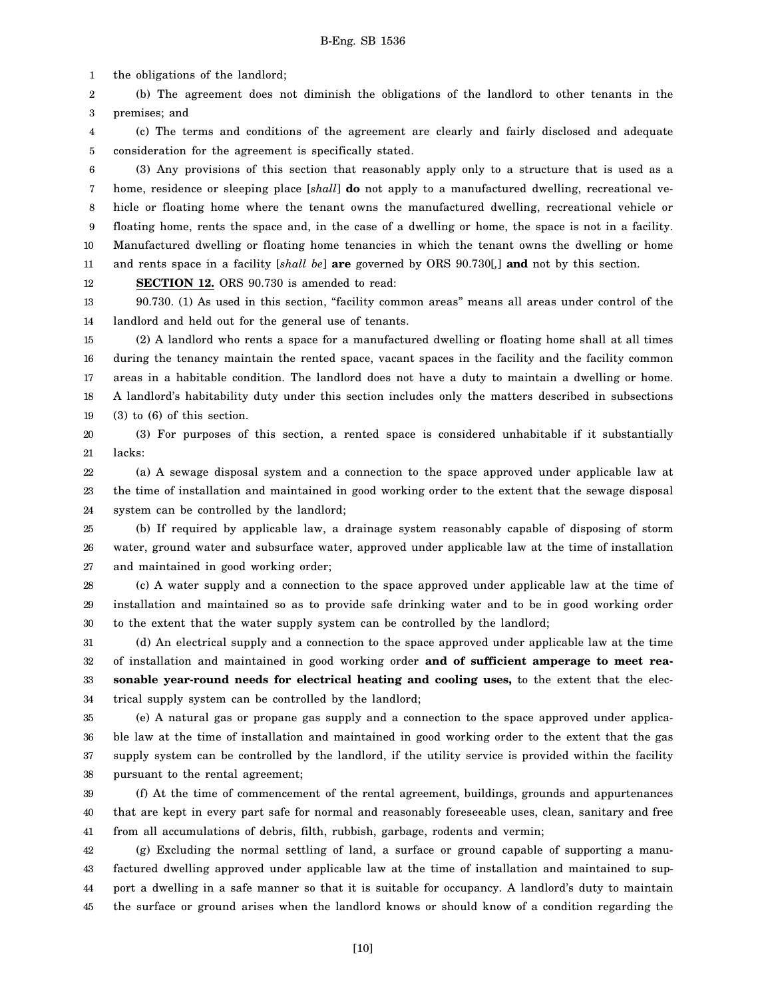1 the obligations of the landlord;

2 3 (b) The agreement does not diminish the obligations of the landlord to other tenants in the premises; and

4 5 (c) The terms and conditions of the agreement are clearly and fairly disclosed and adequate consideration for the agreement is specifically stated.

6 7 8 9 10 11 (3) Any provisions of this section that reasonably apply only to a structure that is used as a home, residence or sleeping place [*shall*] **do** not apply to a manufactured dwelling, recreational vehicle or floating home where the tenant owns the manufactured dwelling, recreational vehicle or floating home, rents the space and, in the case of a dwelling or home, the space is not in a facility. Manufactured dwelling or floating home tenancies in which the tenant owns the dwelling or home and rents space in a facility [*shall be*] **are** governed by ORS 90.730[*,*] **and** not by this section.

12 **SECTION 12.** ORS 90.730 is amended to read:

13 14 90.730. (1) As used in this section, "facility common areas" means all areas under control of the landlord and held out for the general use of tenants.

15 16 17 18 19 (2) A landlord who rents a space for a manufactured dwelling or floating home shall at all times during the tenancy maintain the rented space, vacant spaces in the facility and the facility common areas in a habitable condition. The landlord does not have a duty to maintain a dwelling or home. A landlord's habitability duty under this section includes only the matters described in subsections (3) to (6) of this section.

20 21 (3) For purposes of this section, a rented space is considered unhabitable if it substantially lacks:

22 23 24 (a) A sewage disposal system and a connection to the space approved under applicable law at the time of installation and maintained in good working order to the extent that the sewage disposal system can be controlled by the landlord;

25 26 27 (b) If required by applicable law, a drainage system reasonably capable of disposing of storm water, ground water and subsurface water, approved under applicable law at the time of installation and maintained in good working order;

28 29 30 (c) A water supply and a connection to the space approved under applicable law at the time of installation and maintained so as to provide safe drinking water and to be in good working order to the extent that the water supply system can be controlled by the landlord;

31 32 33 34 (d) An electrical supply and a connection to the space approved under applicable law at the time of installation and maintained in good working order **and of sufficient amperage to meet reasonable year-round needs for electrical heating and cooling uses,** to the extent that the electrical supply system can be controlled by the landlord;

35 36 37 38 (e) A natural gas or propane gas supply and a connection to the space approved under applicable law at the time of installation and maintained in good working order to the extent that the gas supply system can be controlled by the landlord, if the utility service is provided within the facility pursuant to the rental agreement;

39 40 41 (f) At the time of commencement of the rental agreement, buildings, grounds and appurtenances that are kept in every part safe for normal and reasonably foreseeable uses, clean, sanitary and free from all accumulations of debris, filth, rubbish, garbage, rodents and vermin;

42 43 44 45 (g) Excluding the normal settling of land, a surface or ground capable of supporting a manufactured dwelling approved under applicable law at the time of installation and maintained to support a dwelling in a safe manner so that it is suitable for occupancy. A landlord's duty to maintain the surface or ground arises when the landlord knows or should know of a condition regarding the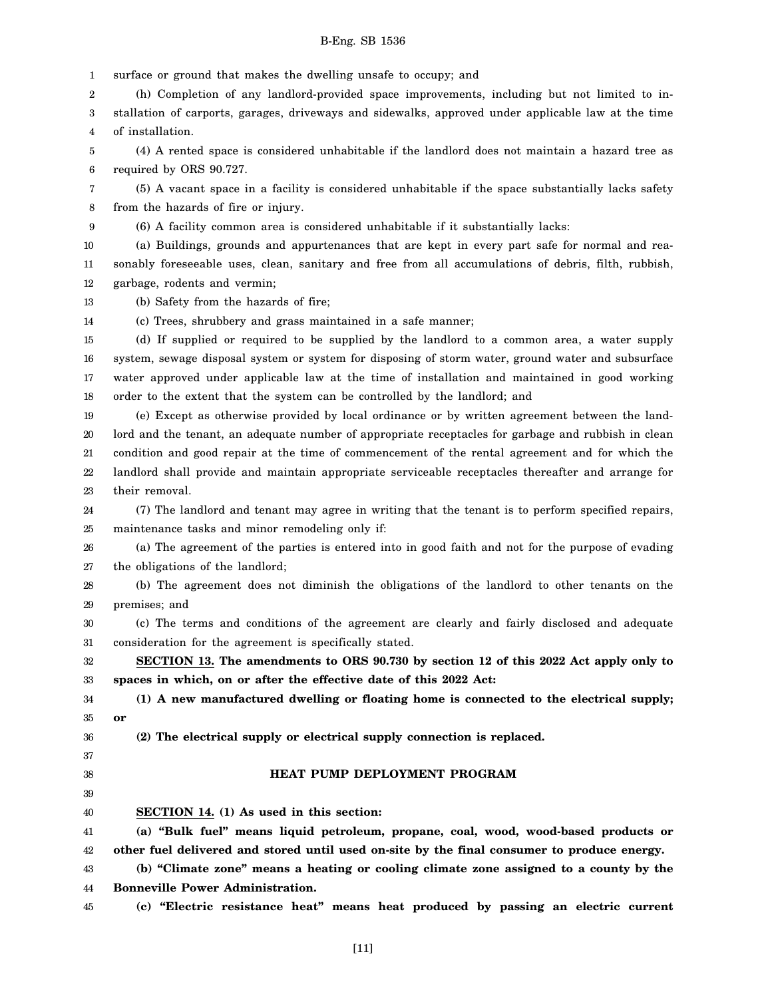1 surface or ground that makes the dwelling unsafe to occupy; and

2 (h) Completion of any landlord-provided space improvements, including but not limited to in-

3 4 stallation of carports, garages, driveways and sidewalks, approved under applicable law at the time of installation.

5 6 (4) A rented space is considered unhabitable if the landlord does not maintain a hazard tree as required by ORS 90.727.

7 8 (5) A vacant space in a facility is considered unhabitable if the space substantially lacks safety from the hazards of fire or injury.

9 (6) A facility common area is considered unhabitable if it substantially lacks:

10 11 12 (a) Buildings, grounds and appurtenances that are kept in every part safe for normal and reasonably foreseeable uses, clean, sanitary and free from all accumulations of debris, filth, rubbish, garbage, rodents and vermin;

13 (b) Safety from the hazards of fire;

14 (c) Trees, shrubbery and grass maintained in a safe manner;

15 16 17 18 (d) If supplied or required to be supplied by the landlord to a common area, a water supply system, sewage disposal system or system for disposing of storm water, ground water and subsurface water approved under applicable law at the time of installation and maintained in good working order to the extent that the system can be controlled by the landlord; and

19 20 21 22 23 (e) Except as otherwise provided by local ordinance or by written agreement between the landlord and the tenant, an adequate number of appropriate receptacles for garbage and rubbish in clean condition and good repair at the time of commencement of the rental agreement and for which the landlord shall provide and maintain appropriate serviceable receptacles thereafter and arrange for their removal.

24 25 (7) The landlord and tenant may agree in writing that the tenant is to perform specified repairs, maintenance tasks and minor remodeling only if:

26 27 (a) The agreement of the parties is entered into in good faith and not for the purpose of evading the obligations of the landlord;

28 29 (b) The agreement does not diminish the obligations of the landlord to other tenants on the premises; and

30 31 (c) The terms and conditions of the agreement are clearly and fairly disclosed and adequate consideration for the agreement is specifically stated.

32 33 **SECTION 13. The amendments to ORS 90.730 by section 12 of this 2022 Act apply only to spaces in which, on or after the effective date of this 2022 Act:**

34 35 **(1) A new manufactured dwelling or floating home is connected to the electrical supply; or**

36 37

### **HEAT PUMP DEPLOYMENT PROGRAM**

**(2) The electrical supply or electrical supply connection is replaced.**

38 39 40

**SECTION 14. (1) As used in this section:**

41 42 **(a) "Bulk fuel" means liquid petroleum, propane, coal, wood, wood-based products or other fuel delivered and stored until used on-site by the final consumer to produce energy.**

43 44 **(b) "Climate zone" means a heating or cooling climate zone assigned to a county by the Bonneville Power Administration.**

**(c) "Electric resistance heat" means heat produced by passing an electric current**

45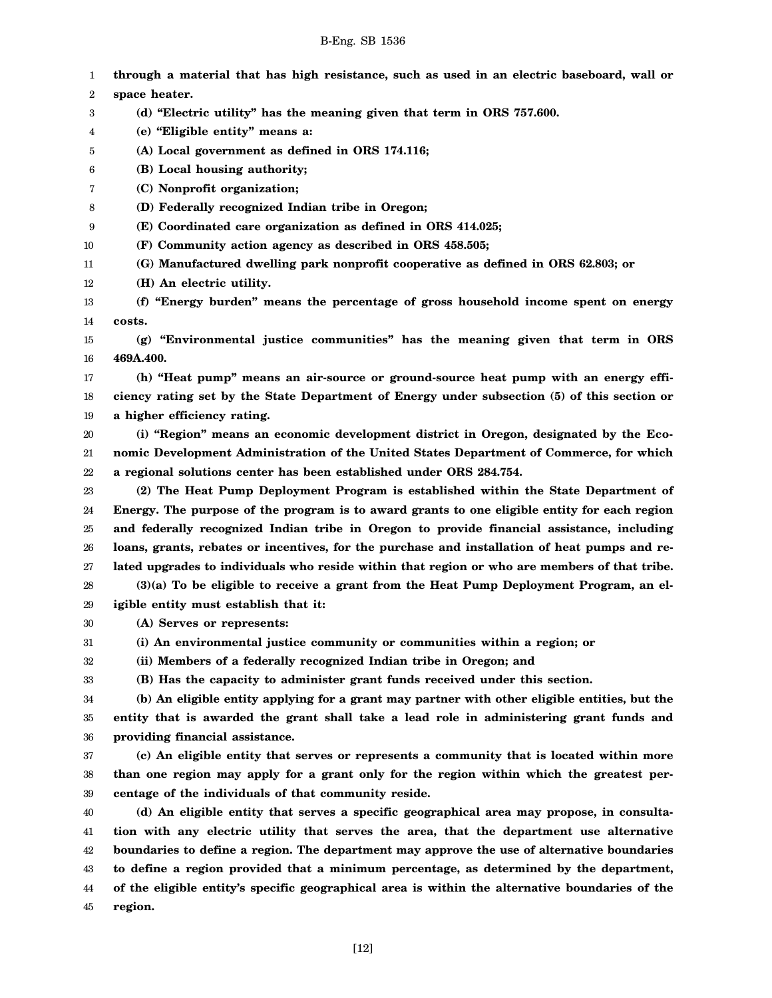| 1      | through a material that has high resistance, such as used in an electric baseboard, wall or     |
|--------|-------------------------------------------------------------------------------------------------|
| 2      | space heater.                                                                                   |
| 3      | (d) "Electric utility" has the meaning given that term in ORS 757.600.                          |
| 4      | (e) "Eligible entity" means a:                                                                  |
| 5      | (A) Local government as defined in ORS 174.116;                                                 |
| 6      | (B) Local housing authority;                                                                    |
| 7      | (C) Nonprofit organization;                                                                     |
| 8      | (D) Federally recognized Indian tribe in Oregon;                                                |
| 9      | (E) Coordinated care organization as defined in ORS 414.025;                                    |
| 10     | (F) Community action agency as described in ORS 458.505;                                        |
| 11     | (G) Manufactured dwelling park nonprofit cooperative as defined in ORS 62.803; or               |
| 12     | (H) An electric utility.                                                                        |
| 13     | (f) "Energy burden" means the percentage of gross household income spent on energy              |
| 14     | costs.                                                                                          |
| 15     | (g) "Environmental justice communities" has the meaning given that term in ORS                  |
| 16     | 469A.400.                                                                                       |
| 17     | (h) "Heat pump" means an air-source or ground-source heat pump with an energy effi-             |
| 18     | ciency rating set by the State Department of Energy under subsection (5) of this section or     |
| 19     | a higher efficiency rating.                                                                     |
| 20     | (i) "Region" means an economic development district in Oregon, designated by the Eco-           |
| 21     | nomic Development Administration of the United States Department of Commerce, for which         |
| 22     | a regional solutions center has been established under ORS 284.754.                             |
| 23     | (2) The Heat Pump Deployment Program is established within the State Department of              |
| 24     | Energy. The purpose of the program is to award grants to one eligible entity for each region    |
| 25     | and federally recognized Indian tribe in Oregon to provide financial assistance, including      |
| 26     | loans, grants, rebates or incentives, for the purchase and installation of heat pumps and re-   |
| 27     | lated upgrades to individuals who reside within that region or who are members of that tribe.   |
| 28     | $(3)(a)$ To be eligible to receive a grant from the Heat Pump Deployment Program, an el-        |
| 29     | igible entity must establish that it:                                                           |
| $30\,$ | (A) Serves or represents:                                                                       |
| 31     | (i) An environmental justice community or communities within a region; or                       |
| 32     | (ii) Members of a federally recognized Indian tribe in Oregon; and                              |
| 33     | (B) Has the capacity to administer grant funds received under this section.                     |
| 34     | (b) An eligible entity applying for a grant may partner with other eligible entities, but the   |
| 35     | entity that is awarded the grant shall take a lead role in administering grant funds and        |
| 36     | providing financial assistance.                                                                 |
| 37     | (c) An eligible entity that serves or represents a community that is located within more        |
| 38     | than one region may apply for a grant only for the region within which the greatest per-        |
| 39     | centage of the individuals of that community reside.                                            |
| 40     | (d) An eligible entity that serves a specific geographical area may propose, in consulta-       |
| 41     | tion with any electric utility that serves the area, that the department use alternative        |
| 42     | boundaries to define a region. The department may approve the use of alternative boundaries     |
| 43     | to define a region provided that a minimum percentage, as determined by the department,         |
| 44     | of the eligible entity's specific geographical area is within the alternative boundaries of the |

45 **region.**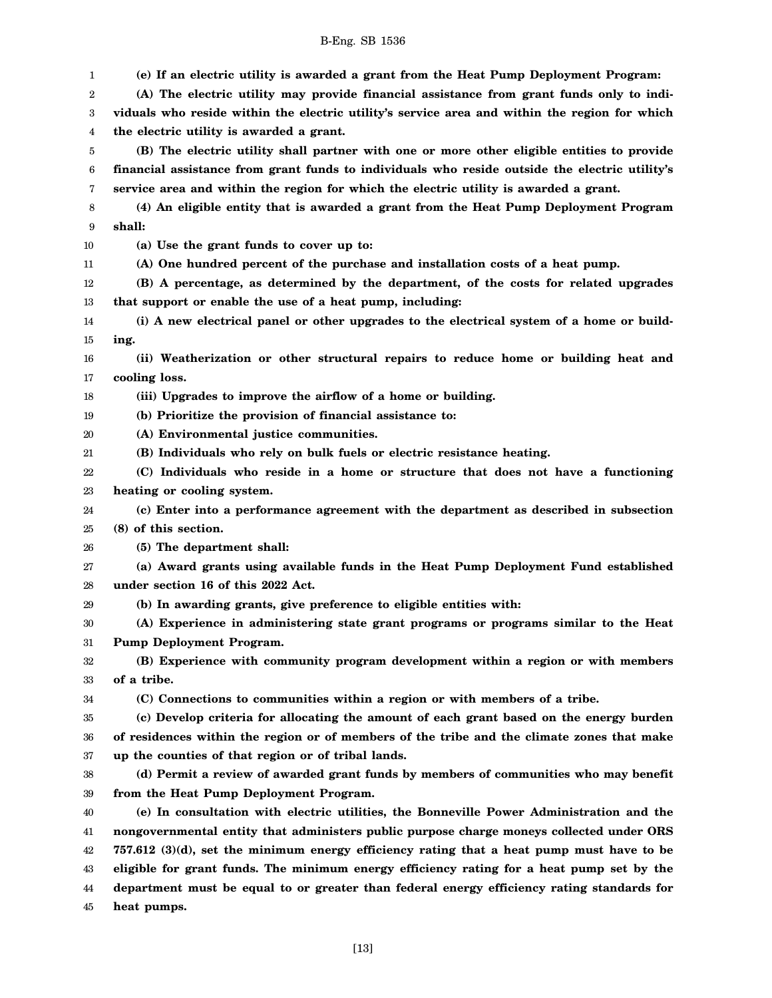3 4 5 6 7 8 9 10 11 12 13 14 15 16 17 18 19 20 21 22 23 24 25 26 27 28 29 30 31 32 33 34 35 36 37 38 39 40 41 42 43 **viduals who reside within the electric utility's service area and within the region for which the electric utility is awarded a grant. (B) The electric utility shall partner with one or more other eligible entities to provide financial assistance from grant funds to individuals who reside outside the electric utility's service area and within the region for which the electric utility is awarded a grant. (4) An eligible entity that is awarded a grant from the Heat Pump Deployment Program shall: (a) Use the grant funds to cover up to: (A) One hundred percent of the purchase and installation costs of a heat pump. (B) A percentage, as determined by the department, of the costs for related upgrades that support or enable the use of a heat pump, including: (i) A new electrical panel or other upgrades to the electrical system of a home or building. (ii) Weatherization or other structural repairs to reduce home or building heat and cooling loss. (iii) Upgrades to improve the airflow of a home or building. (b) Prioritize the provision of financial assistance to: (A) Environmental justice communities. (B) Individuals who rely on bulk fuels or electric resistance heating. (C) Individuals who reside in a home or structure that does not have a functioning heating or cooling system. (c) Enter into a performance agreement with the department as described in subsection (8) of this section. (5) The department shall: (a) Award grants using available funds in the Heat Pump Deployment Fund established under section 16 of this 2022 Act. (b) In awarding grants, give preference to eligible entities with: (A) Experience in administering state grant programs or programs similar to the Heat Pump Deployment Program. (B) Experience with community program development within a region or with members of a tribe. (C) Connections to communities within a region or with members of a tribe. (c) Develop criteria for allocating the amount of each grant based on the energy burden of residences within the region or of members of the tribe and the climate zones that make up the counties of that region or of tribal lands. (d) Permit a review of awarded grant funds by members of communities who may benefit from the Heat Pump Deployment Program. (e) In consultation with electric utilities, the Bonneville Power Administration and the nongovernmental entity that administers public purpose charge moneys collected under ORS 757.612 (3)(d), set the minimum energy efficiency rating that a heat pump must have to be eligible for grant funds. The minimum energy efficiency rating for a heat pump set by the**

**(e) If an electric utility is awarded a grant from the Heat Pump Deployment Program: (A) The electric utility may provide financial assistance from grant funds only to indi-**

1 2

44 45

**heat pumps.**

[13]

**department must be equal to or greater than federal energy efficiency rating standards for**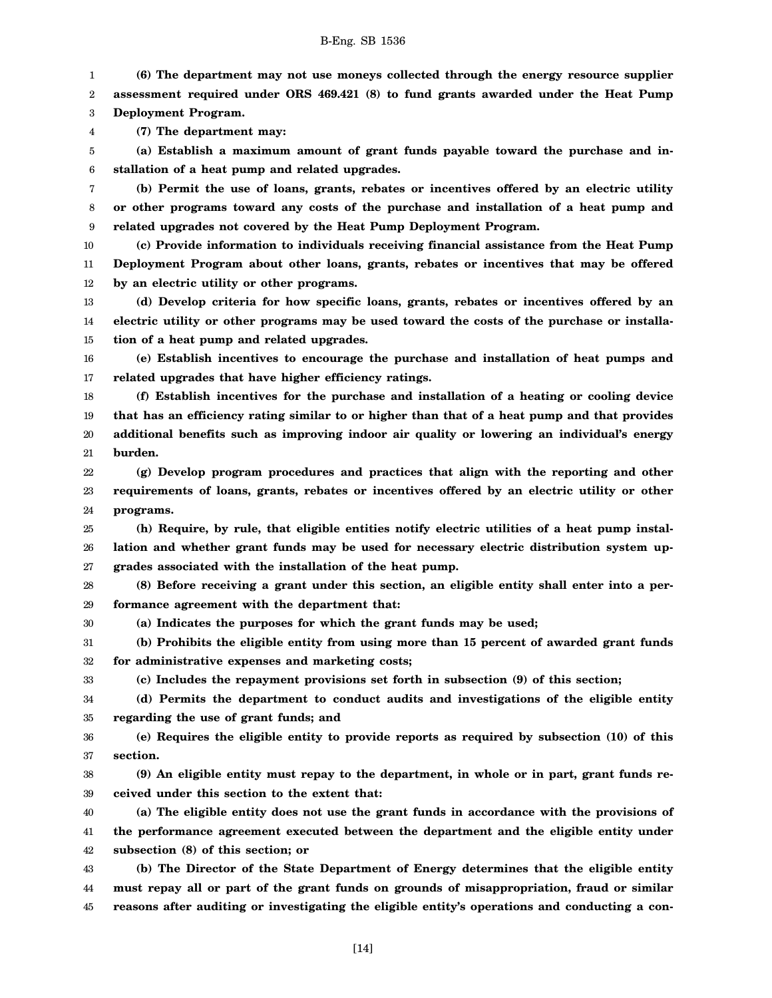1 2 3 **(6) The department may not use moneys collected through the energy resource supplier assessment required under ORS 469.421 (8) to fund grants awarded under the Heat Pump Deployment Program.**

4 **(7) The department may:**

30

33

5 6 **(a) Establish a maximum amount of grant funds payable toward the purchase and installation of a heat pump and related upgrades.**

7 8 9 **(b) Permit the use of loans, grants, rebates or incentives offered by an electric utility or other programs toward any costs of the purchase and installation of a heat pump and related upgrades not covered by the Heat Pump Deployment Program.**

10 11 12 **(c) Provide information to individuals receiving financial assistance from the Heat Pump Deployment Program about other loans, grants, rebates or incentives that may be offered by an electric utility or other programs.**

13 14 15 **(d) Develop criteria for how specific loans, grants, rebates or incentives offered by an electric utility or other programs may be used toward the costs of the purchase or installation of a heat pump and related upgrades.**

16 17 **(e) Establish incentives to encourage the purchase and installation of heat pumps and related upgrades that have higher efficiency ratings.**

18 19 20 21 **(f) Establish incentives for the purchase and installation of a heating or cooling device that has an efficiency rating similar to or higher than that of a heat pump and that provides additional benefits such as improving indoor air quality or lowering an individual's energy burden.**

22 23 24 **(g) Develop program procedures and practices that align with the reporting and other requirements of loans, grants, rebates or incentives offered by an electric utility or other programs.**

25 26 27 **(h) Require, by rule, that eligible entities notify electric utilities of a heat pump installation and whether grant funds may be used for necessary electric distribution system upgrades associated with the installation of the heat pump.**

28 29 **(8) Before receiving a grant under this section, an eligible entity shall enter into a performance agreement with the department that:**

**(a) Indicates the purposes for which the grant funds may be used;**

31 32 **(b) Prohibits the eligible entity from using more than 15 percent of awarded grant funds for administrative expenses and marketing costs;**

**(c) Includes the repayment provisions set forth in subsection (9) of this section;**

34 35 **(d) Permits the department to conduct audits and investigations of the eligible entity regarding the use of grant funds; and**

36 37 **(e) Requires the eligible entity to provide reports as required by subsection (10) of this section.**

38 39 **(9) An eligible entity must repay to the department, in whole or in part, grant funds received under this section to the extent that:**

40 41 42 **(a) The eligible entity does not use the grant funds in accordance with the provisions of the performance agreement executed between the department and the eligible entity under subsection (8) of this section; or**

43 44 45 **(b) The Director of the State Department of Energy determines that the eligible entity must repay all or part of the grant funds on grounds of misappropriation, fraud or similar reasons after auditing or investigating the eligible entity's operations and conducting a con-**

[14]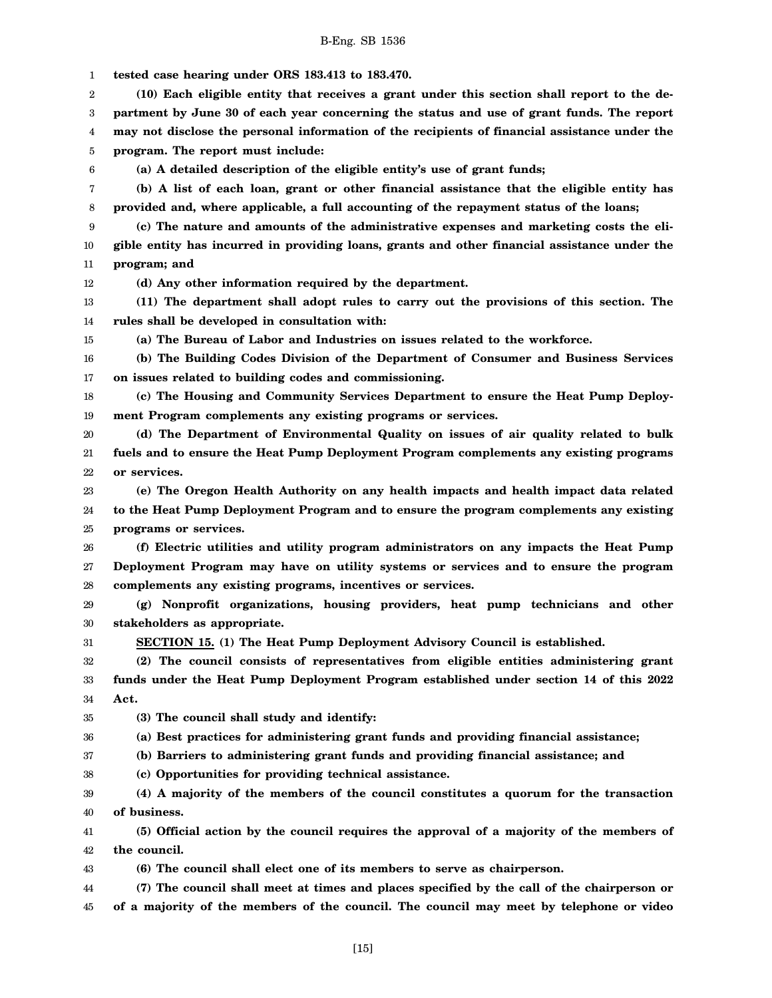1 2 3 4 5 6 7 8 9 10 11 12 13 14 15 16 17 18 19 20 21 22 23 24 25 26 27 28 29 30 31 32 33 34 35 36 37 38 39 40 41 42 43 44 45 **tested case hearing under ORS 183.413 to 183.470. (10) Each eligible entity that receives a grant under this section shall report to the department by June 30 of each year concerning the status and use of grant funds. The report may not disclose the personal information of the recipients of financial assistance under the program. The report must include: (a) A detailed description of the eligible entity's use of grant funds; (b) A list of each loan, grant or other financial assistance that the eligible entity has provided and, where applicable, a full accounting of the repayment status of the loans; (c) The nature and amounts of the administrative expenses and marketing costs the eligible entity has incurred in providing loans, grants and other financial assistance under the program; and (d) Any other information required by the department. (11) The department shall adopt rules to carry out the provisions of this section. The rules shall be developed in consultation with: (a) The Bureau of Labor and Industries on issues related to the workforce. (b) The Building Codes Division of the Department of Consumer and Business Services on issues related to building codes and commissioning. (c) The Housing and Community Services Department to ensure the Heat Pump Deployment Program complements any existing programs or services. (d) The Department of Environmental Quality on issues of air quality related to bulk fuels and to ensure the Heat Pump Deployment Program complements any existing programs or services. (e) The Oregon Health Authority on any health impacts and health impact data related to the Heat Pump Deployment Program and to ensure the program complements any existing programs or services. (f) Electric utilities and utility program administrators on any impacts the Heat Pump Deployment Program may have on utility systems or services and to ensure the program complements any existing programs, incentives or services. (g) Nonprofit organizations, housing providers, heat pump technicians and other stakeholders as appropriate. SECTION 15. (1) The Heat Pump Deployment Advisory Council is established. (2) The council consists of representatives from eligible entities administering grant funds under the Heat Pump Deployment Program established under section 14 of this 2022 Act. (3) The council shall study and identify: (a) Best practices for administering grant funds and providing financial assistance; (b) Barriers to administering grant funds and providing financial assistance; and (c) Opportunities for providing technical assistance. (4) A majority of the members of the council constitutes a quorum for the transaction of business. (5) Official action by the council requires the approval of a majority of the members of the council. (6) The council shall elect one of its members to serve as chairperson. (7) The council shall meet at times and places specified by the call of the chairperson or of a majority of the members of the council. The council may meet by telephone or video**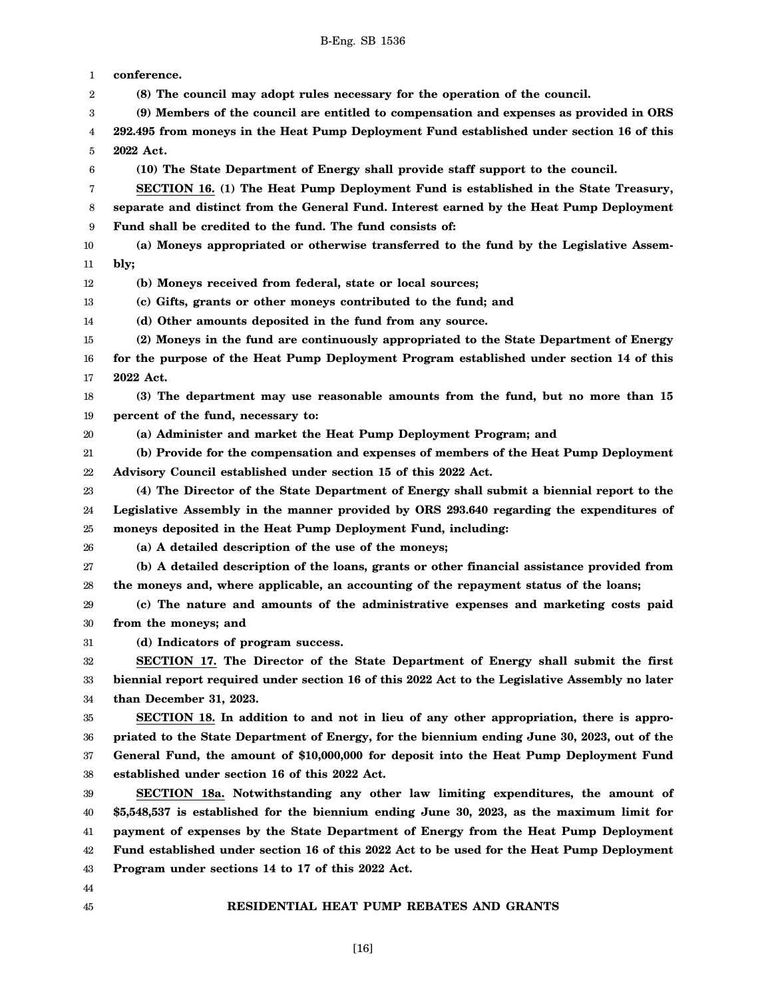1 2 3 4 5 6 7 8 9 10 11 12 13 14 15 16 17 18 19 20 21 22 23 24 25 26 27 28 29 30 31 32 33 34 35 36 37 38 39 40 41 42 43 44 45 **conference. (8) The council may adopt rules necessary for the operation of the council. (9) Members of the council are entitled to compensation and expenses as provided in ORS 292.495 from moneys in the Heat Pump Deployment Fund established under section 16 of this 2022 Act. (10) The State Department of Energy shall provide staff support to the council. SECTION 16. (1) The Heat Pump Deployment Fund is established in the State Treasury, separate and distinct from the General Fund. Interest earned by the Heat Pump Deployment Fund shall be credited to the fund. The fund consists of: (a) Moneys appropriated or otherwise transferred to the fund by the Legislative Assembly; (b) Moneys received from federal, state or local sources; (c) Gifts, grants or other moneys contributed to the fund; and (d) Other amounts deposited in the fund from any source. (2) Moneys in the fund are continuously appropriated to the State Department of Energy for the purpose of the Heat Pump Deployment Program established under section 14 of this 2022 Act. (3) The department may use reasonable amounts from the fund, but no more than 15 percent of the fund, necessary to: (a) Administer and market the Heat Pump Deployment Program; and (b) Provide for the compensation and expenses of members of the Heat Pump Deployment Advisory Council established under section 15 of this 2022 Act. (4) The Director of the State Department of Energy shall submit a biennial report to the Legislative Assembly in the manner provided by ORS 293.640 regarding the expenditures of moneys deposited in the Heat Pump Deployment Fund, including: (a) A detailed description of the use of the moneys; (b) A detailed description of the loans, grants or other financial assistance provided from the moneys and, where applicable, an accounting of the repayment status of the loans; (c) The nature and amounts of the administrative expenses and marketing costs paid from the moneys; and (d) Indicators of program success. SECTION 17. The Director of the State Department of Energy shall submit the first biennial report required under section 16 of this 2022 Act to the Legislative Assembly no later than December 31, 2023. SECTION 18. In addition to and not in lieu of any other appropriation, there is appropriated to the State Department of Energy, for the biennium ending June 30, 2023, out of the General Fund, the amount of \$10,000,000 for deposit into the Heat Pump Deployment Fund established under section 16 of this 2022 Act. SECTION 18a. Notwithstanding any other law limiting expenditures, the amount of \$5,548,537 is established for the biennium ending June 30, 2023, as the maximum limit for payment of expenses by the State Department of Energy from the Heat Pump Deployment Fund established under section 16 of this 2022 Act to be used for the Heat Pump Deployment Program under sections 14 to 17 of this 2022 Act. RESIDENTIAL HEAT PUMP REBATES AND GRANTS**

[16]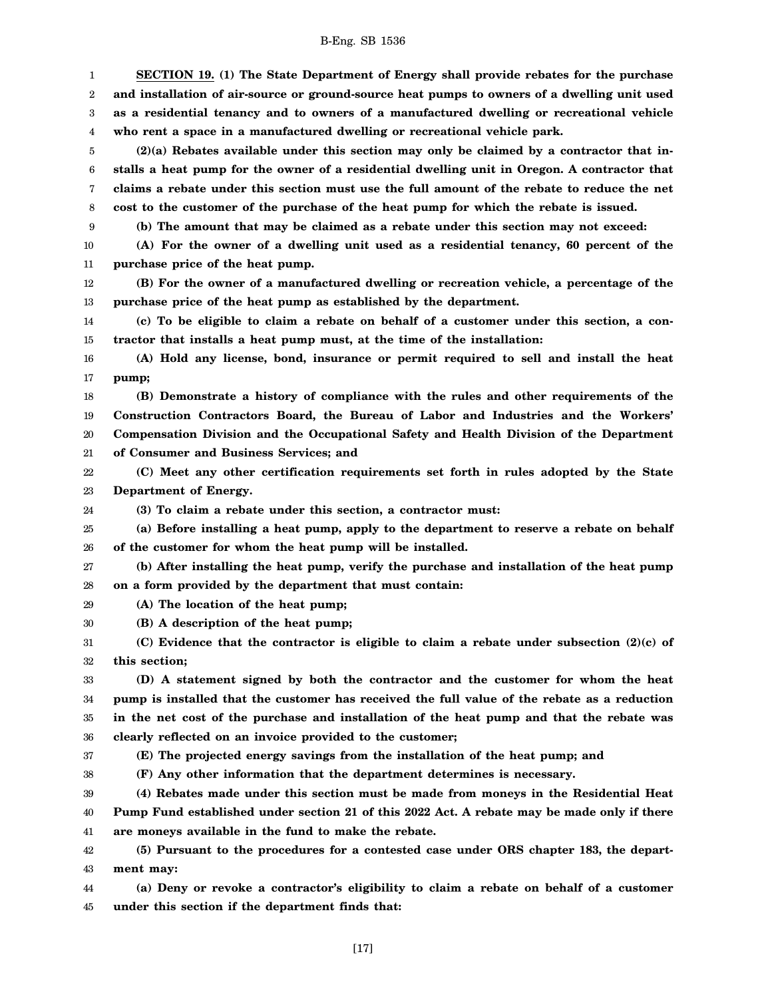1 2 3 4 5 6 7 8 9 10 11 12 13 14 15 16 17 18 19 20 21 22 23 24 25 26 27 28 29 30 31 32 33 34 35 36 37 38 39 40 41 42 43 44 **SECTION 19. (1) The State Department of Energy shall provide rebates for the purchase and installation of air-source or ground-source heat pumps to owners of a dwelling unit used as a residential tenancy and to owners of a manufactured dwelling or recreational vehicle who rent a space in a manufactured dwelling or recreational vehicle park. (2)(a) Rebates available under this section may only be claimed by a contractor that installs a heat pump for the owner of a residential dwelling unit in Oregon. A contractor that claims a rebate under this section must use the full amount of the rebate to reduce the net cost to the customer of the purchase of the heat pump for which the rebate is issued. (b) The amount that may be claimed as a rebate under this section may not exceed: (A) For the owner of a dwelling unit used as a residential tenancy, 60 percent of the purchase price of the heat pump. (B) For the owner of a manufactured dwelling or recreation vehicle, a percentage of the purchase price of the heat pump as established by the department. (c) To be eligible to claim a rebate on behalf of a customer under this section, a contractor that installs a heat pump must, at the time of the installation: (A) Hold any license, bond, insurance or permit required to sell and install the heat pump; (B) Demonstrate a history of compliance with the rules and other requirements of the Construction Contractors Board, the Bureau of Labor and Industries and the Workers' Compensation Division and the Occupational Safety and Health Division of the Department of Consumer and Business Services; and (C) Meet any other certification requirements set forth in rules adopted by the State Department of Energy. (3) To claim a rebate under this section, a contractor must: (a) Before installing a heat pump, apply to the department to reserve a rebate on behalf of the customer for whom the heat pump will be installed. (b) After installing the heat pump, verify the purchase and installation of the heat pump on a form provided by the department that must contain: (A) The location of the heat pump; (B) A description of the heat pump; (C) Evidence that the contractor is eligible to claim a rebate under subsection (2)(c) of this section; (D) A statement signed by both the contractor and the customer for whom the heat pump is installed that the customer has received the full value of the rebate as a reduction in the net cost of the purchase and installation of the heat pump and that the rebate was clearly reflected on an invoice provided to the customer; (E) The projected energy savings from the installation of the heat pump; and (F) Any other information that the department determines is necessary. (4) Rebates made under this section must be made from moneys in the Residential Heat Pump Fund established under section 21 of this 2022 Act. A rebate may be made only if there are moneys available in the fund to make the rebate. (5) Pursuant to the procedures for a contested case under ORS chapter 183, the department may: (a) Deny or revoke a contractor's eligibility to claim a rebate on behalf of a customer**

45 **under this section if the department finds that:**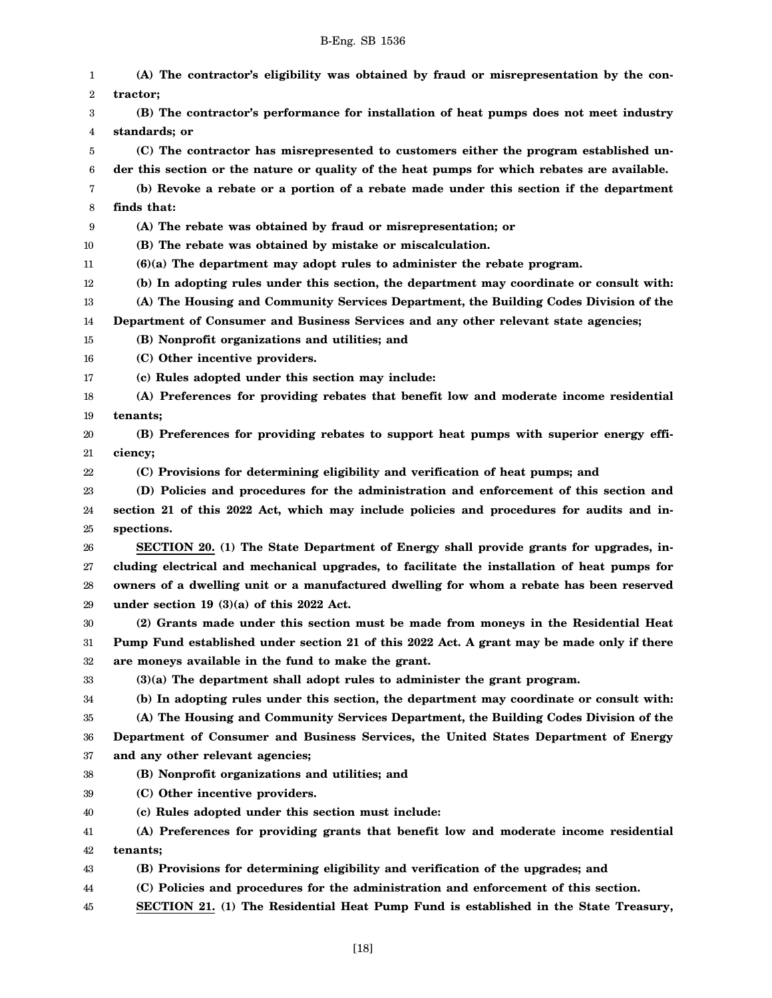| 1  | (A) The contractor's eligibility was obtained by fraud or misrepresentation by the con-      |
|----|----------------------------------------------------------------------------------------------|
| 2  | tractor;                                                                                     |
| 3  | (B) The contractor's performance for installation of heat pumps does not meet industry       |
| 4  | standards; or                                                                                |
| 5  | (C) The contractor has misrepresented to customers either the program established un-        |
| 6  | der this section or the nature or quality of the heat pumps for which rebates are available. |
| 7  | (b) Revoke a rebate or a portion of a rebate made under this section if the department       |
| 8  | finds that:                                                                                  |
| 9  | (A) The rebate was obtained by fraud or misrepresentation; or                                |
| 10 | (B) The rebate was obtained by mistake or miscalculation.                                    |
| 11 | $(6)(a)$ The department may adopt rules to administer the rebate program.                    |
| 12 | (b) In adopting rules under this section, the department may coordinate or consult with:     |
| 13 | (A) The Housing and Community Services Department, the Building Codes Division of the        |
| 14 | Department of Consumer and Business Services and any other relevant state agencies;          |
| 15 | (B) Nonprofit organizations and utilities; and                                               |
| 16 | (C) Other incentive providers.                                                               |
| 17 | (c) Rules adopted under this section may include:                                            |
| 18 | (A) Preferences for providing rebates that benefit low and moderate income residential       |
| 19 | tenants;                                                                                     |
| 20 | (B) Preferences for providing rebates to support heat pumps with superior energy effi-       |
| 21 | ciency;                                                                                      |
| 22 | (C) Provisions for determining eligibility and verification of heat pumps; and               |
| 23 | (D) Policies and procedures for the administration and enforcement of this section and       |
| 24 | section 21 of this 2022 Act, which may include policies and procedures for audits and in-    |
| 25 | spections.                                                                                   |
| 26 | SECTION 20. (1) The State Department of Energy shall provide grants for upgrades, in-        |
| 27 | cluding electrical and mechanical upgrades, to facilitate the installation of heat pumps for |
| 28 | owners of a dwelling unit or a manufactured dwelling for whom a rebate has been reserved     |
| 29 | under section 19 $(3)(a)$ of this 2022 Act.                                                  |
| 30 | (2) Grants made under this section must be made from moneys in the Residential Heat          |
| 31 | Pump Fund established under section 21 of this 2022 Act. A grant may be made only if there   |
| 32 | are moneys available in the fund to make the grant.                                          |
| 33 | (3)(a) The department shall adopt rules to administer the grant program.                     |
| 34 | (b) In adopting rules under this section, the department may coordinate or consult with:     |
| 35 | (A) The Housing and Community Services Department, the Building Codes Division of the        |
| 36 | Department of Consumer and Business Services, the United States Department of Energy         |
| 37 | and any other relevant agencies;                                                             |
| 38 | (B) Nonprofit organizations and utilities; and                                               |
| 39 | (C) Other incentive providers.                                                               |
| 40 | (c) Rules adopted under this section must include:                                           |
| 41 | (A) Preferences for providing grants that benefit low and moderate income residential        |
| 42 | tenants;<br>(B) Provisions for determining eligibility and verification of the upgrades; and |
| 43 |                                                                                              |
| 44 | (C) Policies and procedures for the administration and enforcement of this section.          |

45 **SECTION 21. (1) The Residential Heat Pump Fund is established in the State Treasury,**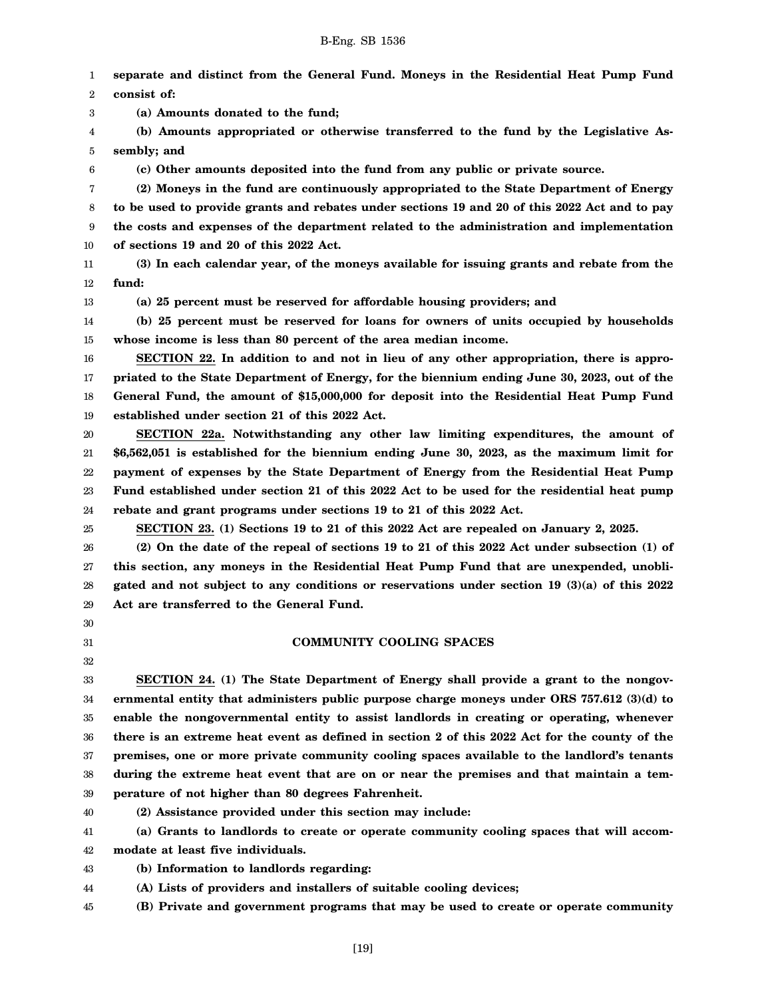1 2 3 4 5 6 7 8 9 10 11 12 13 14 15 16 17 18 19 20 21 22 23 24 25 26 27 28 29 30 31 32 33 34 35 36 37 38 39 **separate and distinct from the General Fund. Moneys in the Residential Heat Pump Fund consist of: (a) Amounts donated to the fund; (b) Amounts appropriated or otherwise transferred to the fund by the Legislative Assembly; and (c) Other amounts deposited into the fund from any public or private source. (2) Moneys in the fund are continuously appropriated to the State Department of Energy to be used to provide grants and rebates under sections 19 and 20 of this 2022 Act and to pay the costs and expenses of the department related to the administration and implementation of sections 19 and 20 of this 2022 Act. (3) In each calendar year, of the moneys available for issuing grants and rebate from the fund: (a) 25 percent must be reserved for affordable housing providers; and (b) 25 percent must be reserved for loans for owners of units occupied by households whose income is less than 80 percent of the area median income. SECTION 22. In addition to and not in lieu of any other appropriation, there is appropriated to the State Department of Energy, for the biennium ending June 30, 2023, out of the General Fund, the amount of \$15,000,000 for deposit into the Residential Heat Pump Fund established under section 21 of this 2022 Act. SECTION 22a. Notwithstanding any other law limiting expenditures, the amount of \$6,562,051 is established for the biennium ending June 30, 2023, as the maximum limit for payment of expenses by the State Department of Energy from the Residential Heat Pump Fund established under section 21 of this 2022 Act to be used for the residential heat pump rebate and grant programs under sections 19 to 21 of this 2022 Act. SECTION 23. (1) Sections 19 to 21 of this 2022 Act are repealed on January 2, 2025. (2) On the date of the repeal of sections 19 to 21 of this 2022 Act under subsection (1) of this section, any moneys in the Residential Heat Pump Fund that are unexpended, unobligated and not subject to any conditions or reservations under section 19 (3)(a) of this 2022 Act are transferred to the General Fund. COMMUNITY COOLING SPACES SECTION 24. (1) The State Department of Energy shall provide a grant to the nongovernmental entity that administers public purpose charge moneys under ORS 757.612 (3)(d) to enable the nongovernmental entity to assist landlords in creating or operating, whenever there is an extreme heat event as defined in section 2 of this 2022 Act for the county of the premises, one or more private community cooling spaces available to the landlord's tenants during the extreme heat event that are on or near the premises and that maintain a temperature of not higher than 80 degrees Fahrenheit.**

40

**(2) Assistance provided under this section may include:**

41 42 **(a) Grants to landlords to create or operate community cooling spaces that will accommodate at least five individuals.**

43 **(b) Information to landlords regarding:**

44 **(A) Lists of providers and installers of suitable cooling devices;**

45 **(B) Private and government programs that may be used to create or operate community**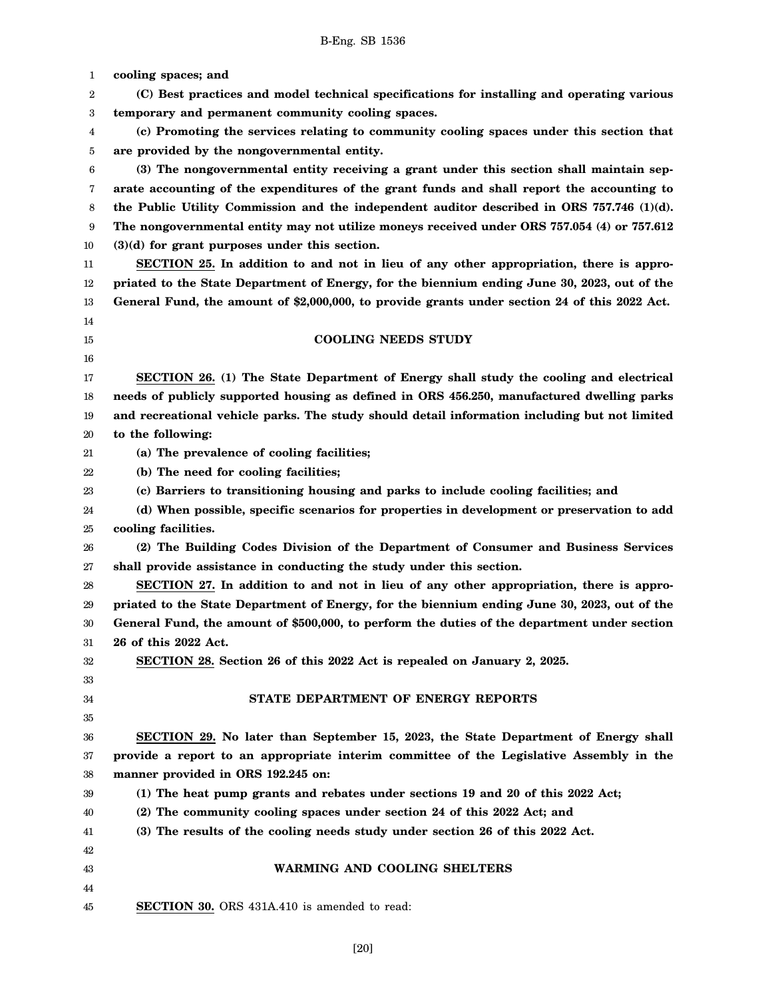1 2 3 4 5 6 7 8 9 10 11 12 13 14 15 16 17 18 19 20 21 22 23 24 25 26 27 28 29 30 31 32 33 34 35 36 37 38 39 40 41 42 43 44 45 **cooling spaces; and (C) Best practices and model technical specifications for installing and operating various temporary and permanent community cooling spaces. (c) Promoting the services relating to community cooling spaces under this section that are provided by the nongovernmental entity. (3) The nongovernmental entity receiving a grant under this section shall maintain separate accounting of the expenditures of the grant funds and shall report the accounting to the Public Utility Commission and the independent auditor described in ORS 757.746 (1)(d). The nongovernmental entity may not utilize moneys received under ORS 757.054 (4) or 757.612 (3)(d) for grant purposes under this section. SECTION 25. In addition to and not in lieu of any other appropriation, there is appropriated to the State Department of Energy, for the biennium ending June 30, 2023, out of the General Fund, the amount of \$2,000,000, to provide grants under section 24 of this 2022 Act. COOLING NEEDS STUDY SECTION 26. (1) The State Department of Energy shall study the cooling and electrical needs of publicly supported housing as defined in ORS 456.250, manufactured dwelling parks and recreational vehicle parks. The study should detail information including but not limited to the following: (a) The prevalence of cooling facilities; (b) The need for cooling facilities; (c) Barriers to transitioning housing and parks to include cooling facilities; and (d) When possible, specific scenarios for properties in development or preservation to add cooling facilities. (2) The Building Codes Division of the Department of Consumer and Business Services shall provide assistance in conducting the study under this section. SECTION 27. In addition to and not in lieu of any other appropriation, there is appropriated to the State Department of Energy, for the biennium ending June 30, 2023, out of the General Fund, the amount of \$500,000, to perform the duties of the department under section 26 of this 2022 Act. SECTION 28. Section 26 of this 2022 Act is repealed on January 2, 2025. STATE DEPARTMENT OF ENERGY REPORTS SECTION 29. No later than September 15, 2023, the State Department of Energy shall provide a report to an appropriate interim committee of the Legislative Assembly in the manner provided in ORS 192.245 on: (1) The heat pump grants and rebates under sections 19 and 20 of this 2022 Act; (2) The community cooling spaces under section 24 of this 2022 Act; and (3) The results of the cooling needs study under section 26 of this 2022 Act. WARMING AND COOLING SHELTERS SECTION 30.** ORS 431A.410 is amended to read: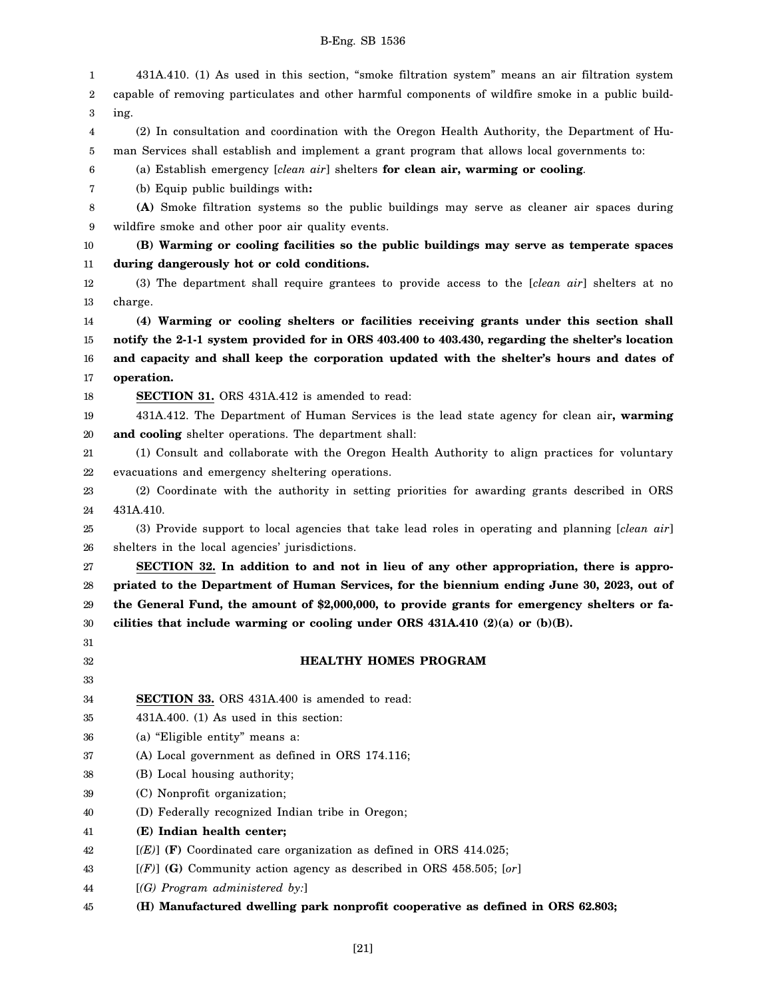| 1  | 431A.410. (1) As used in this section, "smoke filtration system" means an air filtration system    |
|----|----------------------------------------------------------------------------------------------------|
| 2  | capable of removing particulates and other harmful components of wildfire smoke in a public build- |
| 3  | ing.                                                                                               |
| 4  | (2) In consultation and coordination with the Oregon Health Authority, the Department of Hu-       |
| 5  | man Services shall establish and implement a grant program that allows local governments to:       |
| 6  | (a) Establish emergency [clean air] shelters for clean air, warming or cooling.                    |
| 7  | (b) Equip public buildings with:                                                                   |
| 8  | (A) Smoke filtration systems so the public buildings may serve as cleaner air spaces during        |
| 9  | wildfire smoke and other poor air quality events.                                                  |
| 10 | (B) Warming or cooling facilities so the public buildings may serve as temperate spaces            |
| 11 | during dangerously hot or cold conditions.                                                         |
| 12 | (3) The department shall require grantees to provide access to the [clean air] shelters at no      |
| 13 | charge.                                                                                            |
| 14 | (4) Warming or cooling shelters or facilities receiving grants under this section shall            |
| 15 | notify the 2-1-1 system provided for in ORS 403.400 to 403.430, regarding the shelter's location   |
| 16 | and capacity and shall keep the corporation updated with the shelter's hours and dates of          |
| 17 | operation.                                                                                         |
| 18 | <b>SECTION 31.</b> ORS 431A.412 is amended to read:                                                |
| 19 | 431A.412. The Department of Human Services is the lead state agency for clean air, warming         |
| 20 | and cooling shelter operations. The department shall:                                              |
| 21 | (1) Consult and collaborate with the Oregon Health Authority to align practices for voluntary      |
| 22 | evacuations and emergency sheltering operations.                                                   |
| 23 | (2) Coordinate with the authority in setting priorities for awarding grants described in ORS       |
| 24 | 431A.410.                                                                                          |
| 25 | (3) Provide support to local agencies that take lead roles in operating and planning [clean air]   |
| 26 | shelters in the local agencies' jurisdictions.                                                     |
| 27 | SECTION 32. In addition to and not in lieu of any other appropriation, there is appro-             |
| 28 | priated to the Department of Human Services, for the biennium ending June 30, 2023, out of         |
| 29 | the General Fund, the amount of \$2,000,000, to provide grants for emergency shelters or fa-       |
| 30 | cilities that include warming or cooling under ORS $431A.410$ (2)(a) or (b)(B).                    |
| 31 |                                                                                                    |
| 32 | <b>HEALTHY HOMES PROGRAM</b>                                                                       |
| 33 |                                                                                                    |
| 34 | <b>SECTION 33.</b> ORS 431A.400 is amended to read:                                                |
| 35 | $431A.400.$ (1) As used in this section:                                                           |
| 36 | (a) "Eligible entity" means a:                                                                     |
| 37 | (A) Local government as defined in ORS 174.116;                                                    |
| 38 | (B) Local housing authority;                                                                       |
| 39 | (C) Nonprofit organization;                                                                        |
| 40 | (D) Federally recognized Indian tribe in Oregon;                                                   |
| 41 | (E) Indian health center;                                                                          |
| 42 | $[(E)]$ (F) Coordinated care organization as defined in ORS 414.025;                               |
| 43 | $[(F)]$ (G) Community action agency as described in ORS 458.505; [or]                              |
| 44 | $[(G)$ Program administered by:                                                                    |
| 45 | (H) Manufactured dwelling park nonprofit cooperative as defined in ORS 62.803;                     |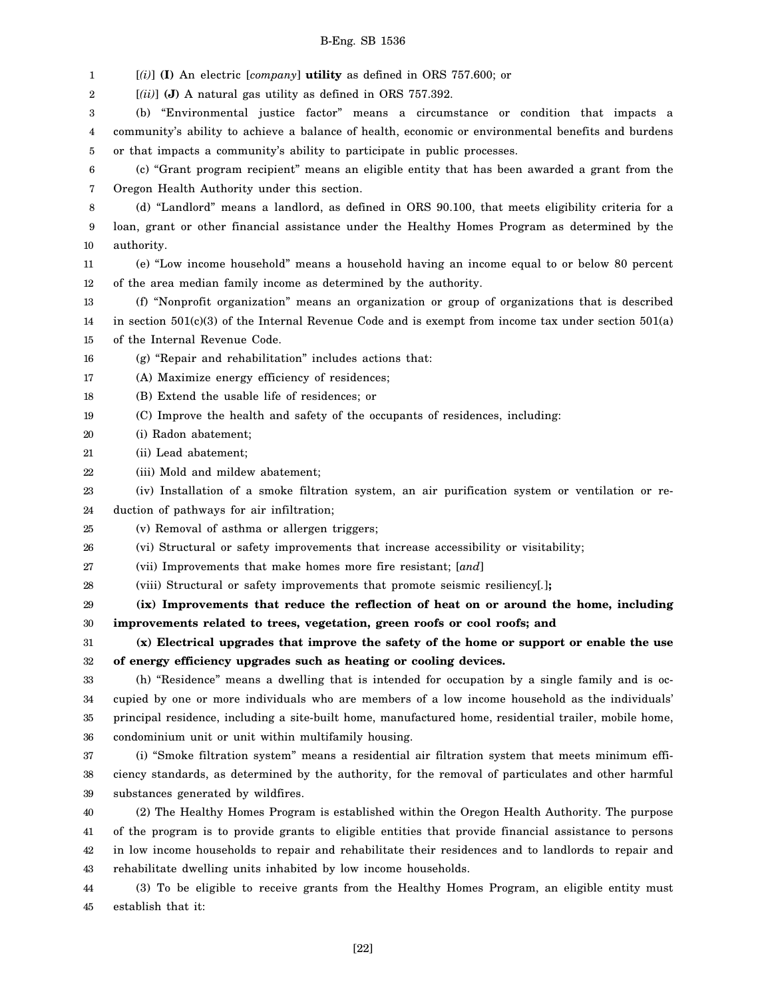1 [*(i)*] **(I)** An electric [*company*] **utility** as defined in ORS 757.600; or

2 [*(ii)*] **(J)** A natural gas utility as defined in ORS 757.392.

3 4 5 (b) "Environmental justice factor" means a circumstance or condition that impacts a community's ability to achieve a balance of health, economic or environmental benefits and burdens or that impacts a community's ability to participate in public processes.

6 7 (c) "Grant program recipient" means an eligible entity that has been awarded a grant from the Oregon Health Authority under this section.

8 9 10 (d) "Landlord" means a landlord, as defined in ORS 90.100, that meets eligibility criteria for a loan, grant or other financial assistance under the Healthy Homes Program as determined by the authority.

11 12 (e) "Low income household" means a household having an income equal to or below 80 percent of the area median family income as determined by the authority.

13 14 15 (f) "Nonprofit organization" means an organization or group of organizations that is described in section  $501(c)(3)$  of the Internal Revenue Code and is exempt from income tax under section  $501(a)$ of the Internal Revenue Code.

16 (g) "Repair and rehabilitation" includes actions that:

17 (A) Maximize energy efficiency of residences;

18 (B) Extend the usable life of residences; or

19 (C) Improve the health and safety of the occupants of residences, including:

- 20 (i) Radon abatement;
- 21 (ii) Lead abatement;
- 22 (iii) Mold and mildew abatement;

23 24 (iv) Installation of a smoke filtration system, an air purification system or ventilation or re-

duction of pathways for air infiltration;

25 (v) Removal of asthma or allergen triggers;

26 (vi) Structural or safety improvements that increase accessibility or visitability;

27 (vii) Improvements that make homes more fire resistant; [*and*]

28 (viii) Structural or safety improvements that promote seismic resiliency[*.*]**;**

29 30 **(ix) Improvements that reduce the reflection of heat on or around the home, including improvements related to trees, vegetation, green roofs or cool roofs; and**

31 32 **(x) Electrical upgrades that improve the safety of the home or support or enable the use of energy efficiency upgrades such as heating or cooling devices.**

33 34 35 36 (h) "Residence" means a dwelling that is intended for occupation by a single family and is occupied by one or more individuals who are members of a low income household as the individuals' principal residence, including a site-built home, manufactured home, residential trailer, mobile home, condominium unit or unit within multifamily housing.

37 38 39 (i) "Smoke filtration system" means a residential air filtration system that meets minimum efficiency standards, as determined by the authority, for the removal of particulates and other harmful substances generated by wildfires.

40 41 42 43 (2) The Healthy Homes Program is established within the Oregon Health Authority. The purpose of the program is to provide grants to eligible entities that provide financial assistance to persons in low income households to repair and rehabilitate their residences and to landlords to repair and rehabilitate dwelling units inhabited by low income households.

44 45 (3) To be eligible to receive grants from the Healthy Homes Program, an eligible entity must establish that it: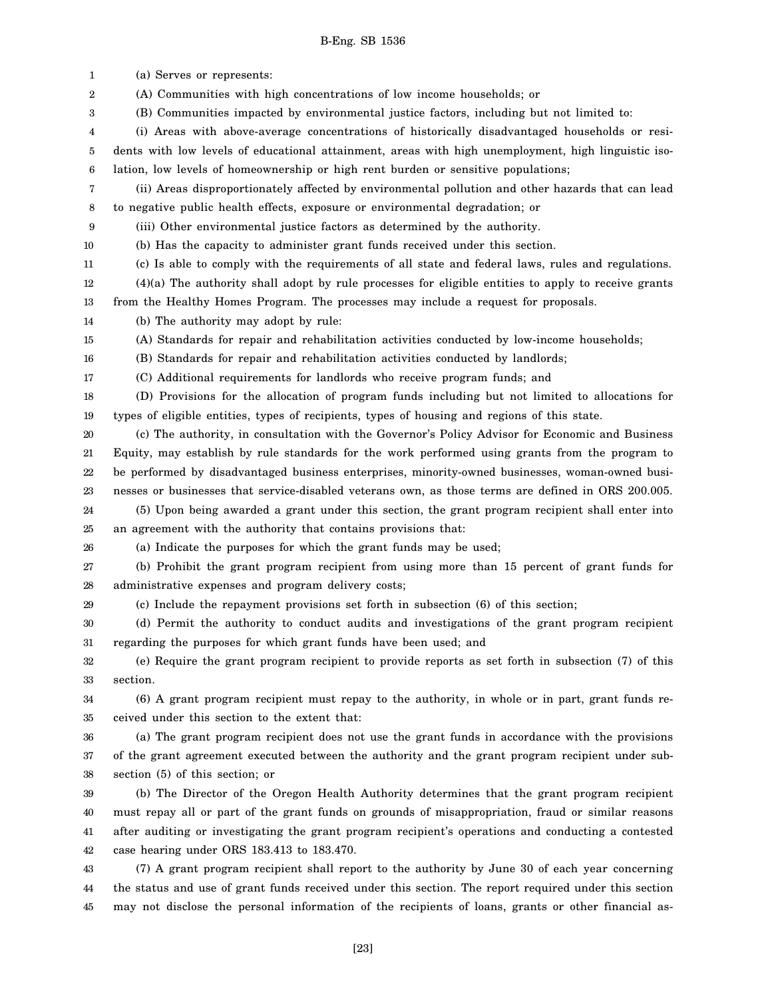1 2 3 4 5 6 7 8 9 10 11 12 13 14 15 16 17 18 19 20 21 22 23 24 25 26 27 28 29 30 31 32 33 34 35 36 37 38 39 40 41 42 43 44 45 (a) Serves or represents: (A) Communities with high concentrations of low income households; or (B) Communities impacted by environmental justice factors, including but not limited to: (i) Areas with above-average concentrations of historically disadvantaged households or residents with low levels of educational attainment, areas with high unemployment, high linguistic isolation, low levels of homeownership or high rent burden or sensitive populations; (ii) Areas disproportionately affected by environmental pollution and other hazards that can lead to negative public health effects, exposure or environmental degradation; or (iii) Other environmental justice factors as determined by the authority. (b) Has the capacity to administer grant funds received under this section. (c) Is able to comply with the requirements of all state and federal laws, rules and regulations. (4)(a) The authority shall adopt by rule processes for eligible entities to apply to receive grants from the Healthy Homes Program. The processes may include a request for proposals. (b) The authority may adopt by rule: (A) Standards for repair and rehabilitation activities conducted by low-income households; (B) Standards for repair and rehabilitation activities conducted by landlords; (C) Additional requirements for landlords who receive program funds; and (D) Provisions for the allocation of program funds including but not limited to allocations for types of eligible entities, types of recipients, types of housing and regions of this state. (c) The authority, in consultation with the Governor's Policy Advisor for Economic and Business Equity, may establish by rule standards for the work performed using grants from the program to be performed by disadvantaged business enterprises, minority-owned businesses, woman-owned businesses or businesses that service-disabled veterans own, as those terms are defined in ORS 200.005. (5) Upon being awarded a grant under this section, the grant program recipient shall enter into an agreement with the authority that contains provisions that: (a) Indicate the purposes for which the grant funds may be used; (b) Prohibit the grant program recipient from using more than 15 percent of grant funds for administrative expenses and program delivery costs; (c) Include the repayment provisions set forth in subsection (6) of this section; (d) Permit the authority to conduct audits and investigations of the grant program recipient regarding the purposes for which grant funds have been used; and (e) Require the grant program recipient to provide reports as set forth in subsection (7) of this section. (6) A grant program recipient must repay to the authority, in whole or in part, grant funds received under this section to the extent that: (a) The grant program recipient does not use the grant funds in accordance with the provisions of the grant agreement executed between the authority and the grant program recipient under subsection (5) of this section; or (b) The Director of the Oregon Health Authority determines that the grant program recipient must repay all or part of the grant funds on grounds of misappropriation, fraud or similar reasons after auditing or investigating the grant program recipient's operations and conducting a contested case hearing under ORS 183.413 to 183.470. (7) A grant program recipient shall report to the authority by June 30 of each year concerning the status and use of grant funds received under this section. The report required under this section may not disclose the personal information of the recipients of loans, grants or other financial as-